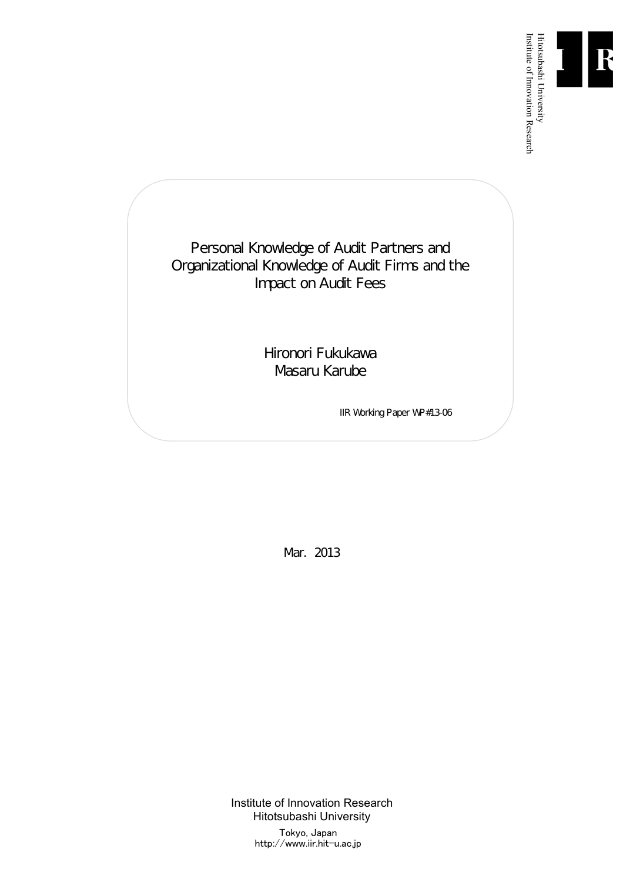

Institute of Innovation Research

Personal Knowledge of Audit Partners and Organizational Knowledge of Audit Firms and the Impact on Audit Fees

> Hironori Fukukawa Masaru Karube

> > IIR Working Paper WP#13-06

Mar. 2013

Institute of Innovation Research Hitotsubashi University Tokyo, Japan http://www.iir.hit-u.ac.jp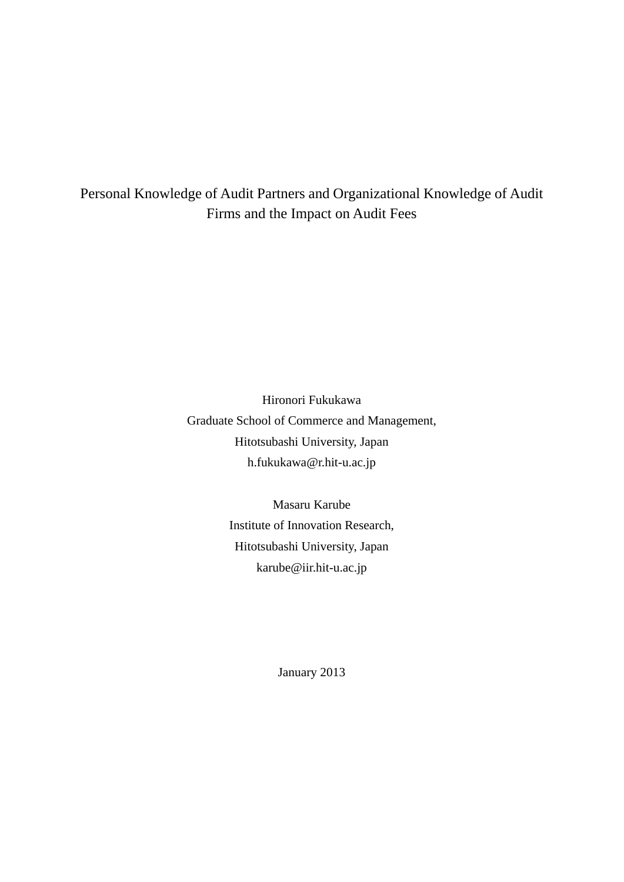# Personal Knowledge of Audit Partners and Organizational Knowledge of Audit Firms and the Impact on Audit Fees

Hironori Fukukawa Graduate School of Commerce and Management, Hitotsubashi University, Japan h.fukukawa@r.hit-u.ac.jp

> Masaru Karube Institute of Innovation Research, Hitotsubashi University, Japan karube@iir.hit-u.ac.jp

> > January 2013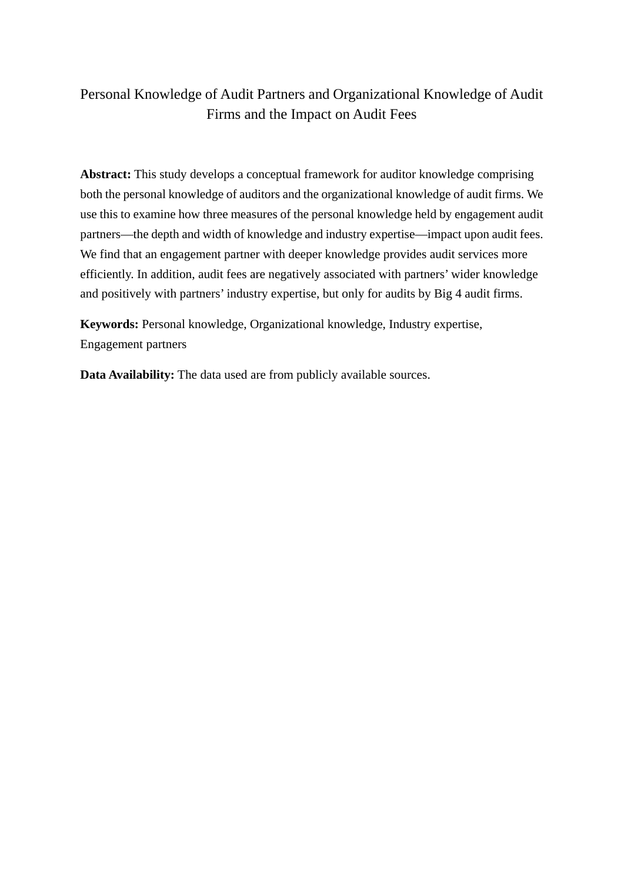# Personal Knowledge of Audit Partners and Organizational Knowledge of Audit Firms and the Impact on Audit Fees

**Abstract:** This study develops a conceptual framework for auditor knowledge comprising both the personal knowledge of auditors and the organizational knowledge of audit firms. We use this to examine how three measures of the personal knowledge held by engagement audit partners—the depth and width of knowledge and industry expertise—impact upon audit fees. We find that an engagement partner with deeper knowledge provides audit services more efficiently. In addition, audit fees are negatively associated with partners' wider knowledge and positively with partners' industry expertise, but only for audits by Big 4 audit firms.

**Keywords:** Personal knowledge, Organizational knowledge, Industry expertise, Engagement partners

**Data Availability:** The data used are from publicly available sources.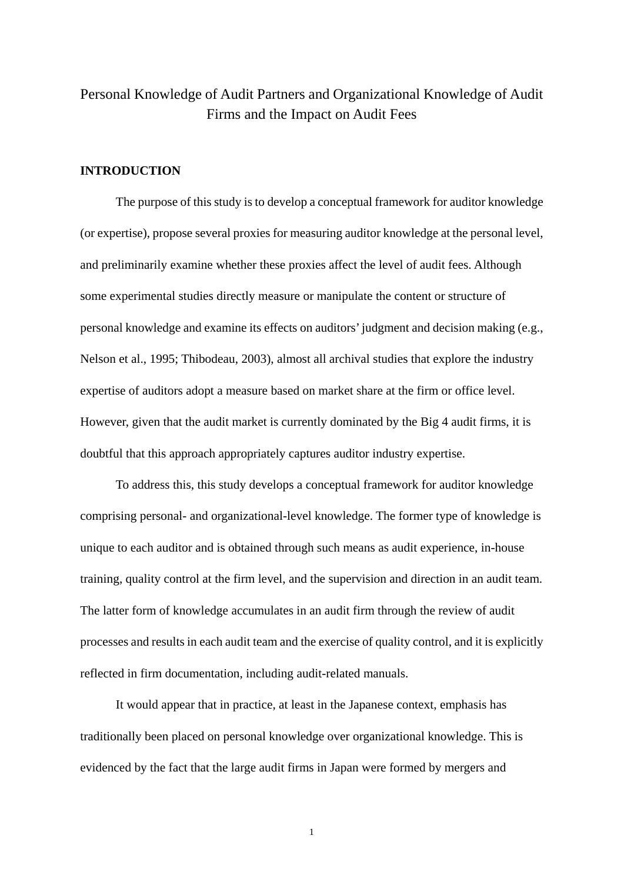# Personal Knowledge of Audit Partners and Organizational Knowledge of Audit Firms and the Impact on Audit Fees

## **INTRODUCTION**

The purpose of this study is to develop a conceptual framework for auditor knowledge (or expertise), propose several proxies for measuring auditor knowledge at the personal level, and preliminarily examine whether these proxies affect the level of audit fees. Although some experimental studies directly measure or manipulate the content or structure of personal knowledge and examine its effects on auditors' judgment and decision making (e.g., Nelson et al., 1995; Thibodeau, 2003), almost all archival studies that explore the industry expertise of auditors adopt a measure based on market share at the firm or office level. However, given that the audit market is currently dominated by the Big 4 audit firms, it is doubtful that this approach appropriately captures auditor industry expertise.

To address this, this study develops a conceptual framework for auditor knowledge comprising personal- and organizational-level knowledge. The former type of knowledge is unique to each auditor and is obtained through such means as audit experience, in-house training, quality control at the firm level, and the supervision and direction in an audit team. The latter form of knowledge accumulates in an audit firm through the review of audit processes and results in each audit team and the exercise of quality control, and it is explicitly reflected in firm documentation, including audit-related manuals.

It would appear that in practice, at least in the Japanese context, emphasis has traditionally been placed on personal knowledge over organizational knowledge. This is evidenced by the fact that the large audit firms in Japan were formed by mergers and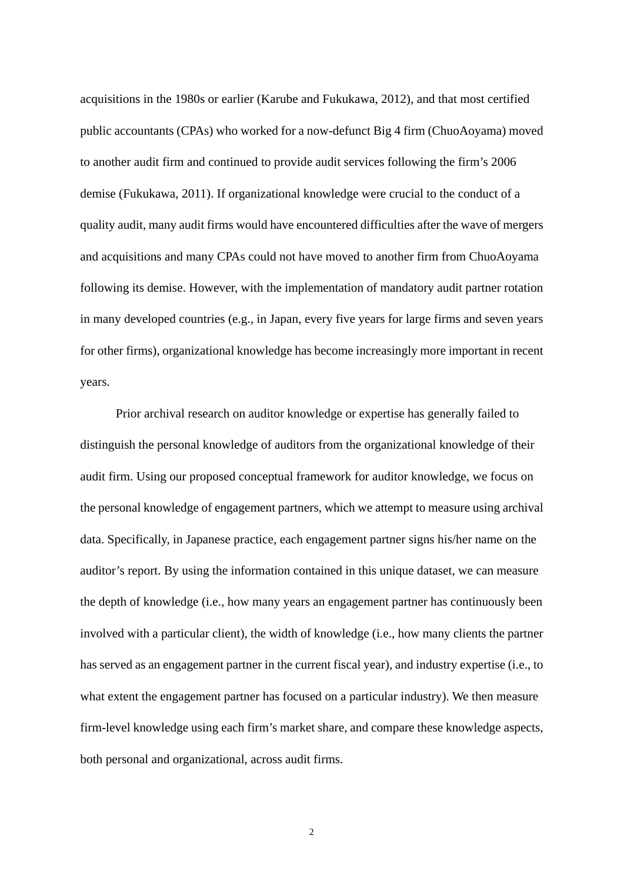acquisitions in the 1980s or earlier (Karube and Fukukawa, 2012), and that most certified public accountants (CPAs) who worked for a now-defunct Big 4 firm (ChuoAoyama) moved to another audit firm and continued to provide audit services following the firm's 2006 demise (Fukukawa, 2011). If organizational knowledge were crucial to the conduct of a quality audit, many audit firms would have encountered difficulties after the wave of mergers and acquisitions and many CPAs could not have moved to another firm from ChuoAoyama following its demise. However, with the implementation of mandatory audit partner rotation in many developed countries (e.g., in Japan, every five years for large firms and seven years for other firms), organizational knowledge has become increasingly more important in recent years.

Prior archival research on auditor knowledge or expertise has generally failed to distinguish the personal knowledge of auditors from the organizational knowledge of their audit firm. Using our proposed conceptual framework for auditor knowledge, we focus on the personal knowledge of engagement partners, which we attempt to measure using archival data. Specifically, in Japanese practice, each engagement partner signs his/her name on the auditor's report. By using the information contained in this unique dataset, we can measure the depth of knowledge (i.e., how many years an engagement partner has continuously been involved with a particular client), the width of knowledge (i.e., how many clients the partner has served as an engagement partner in the current fiscal year), and industry expertise (i.e., to what extent the engagement partner has focused on a particular industry). We then measure firm-level knowledge using each firm's market share, and compare these knowledge aspects, both personal and organizational, across audit firms.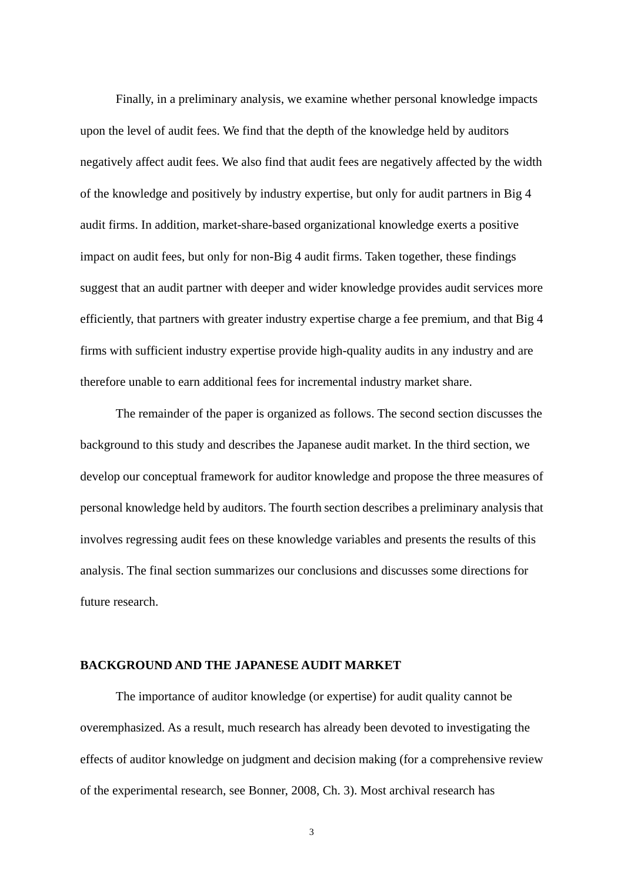Finally, in a preliminary analysis, we examine whether personal knowledge impacts upon the level of audit fees. We find that the depth of the knowledge held by auditors negatively affect audit fees. We also find that audit fees are negatively affected by the width of the knowledge and positively by industry expertise, but only for audit partners in Big 4 audit firms. In addition, market-share-based organizational knowledge exerts a positive impact on audit fees, but only for non-Big 4 audit firms. Taken together, these findings suggest that an audit partner with deeper and wider knowledge provides audit services more efficiently, that partners with greater industry expertise charge a fee premium, and that Big 4 firms with sufficient industry expertise provide high-quality audits in any industry and are therefore unable to earn additional fees for incremental industry market share.

The remainder of the paper is organized as follows. The second section discusses the background to this study and describes the Japanese audit market. In the third section, we develop our conceptual framework for auditor knowledge and propose the three measures of personal knowledge held by auditors. The fourth section describes a preliminary analysis that involves regressing audit fees on these knowledge variables and presents the results of this analysis. The final section summarizes our conclusions and discusses some directions for future research.

#### **BACKGROUND AND THE JAPANESE AUDIT MARKET**

The importance of auditor knowledge (or expertise) for audit quality cannot be overemphasized. As a result, much research has already been devoted to investigating the effects of auditor knowledge on judgment and decision making (for a comprehensive review of the experimental research, see Bonner, 2008, Ch. 3). Most archival research has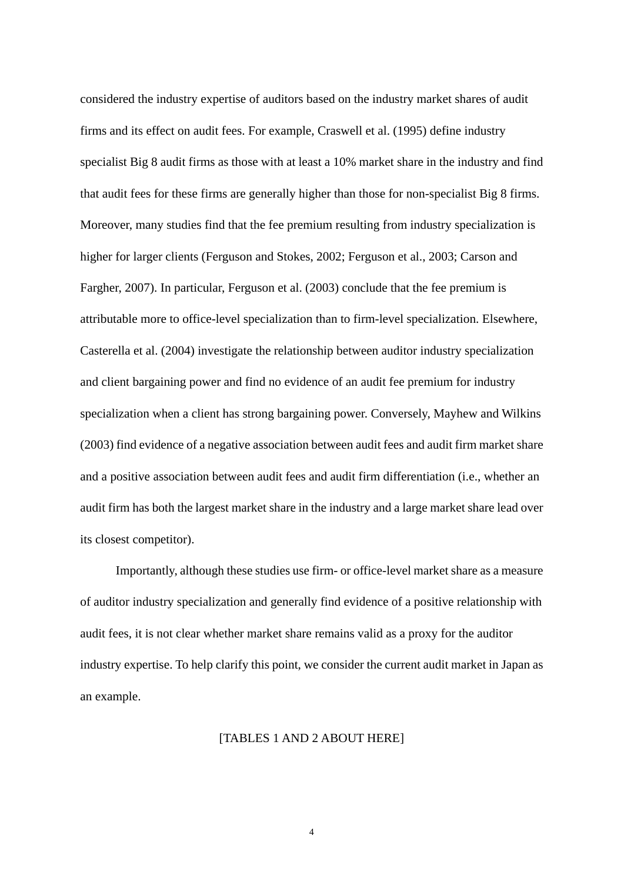considered the industry expertise of auditors based on the industry market shares of audit firms and its effect on audit fees. For example, Craswell et al. (1995) define industry specialist Big 8 audit firms as those with at least a 10% market share in the industry and find that audit fees for these firms are generally higher than those for non-specialist Big 8 firms. Moreover, many studies find that the fee premium resulting from industry specialization is higher for larger clients (Ferguson and Stokes, 2002; Ferguson et al., 2003; Carson and Fargher, 2007). In particular, Ferguson et al. (2003) conclude that the fee premium is attributable more to office-level specialization than to firm-level specialization. Elsewhere, Casterella et al. (2004) investigate the relationship between auditor industry specialization and client bargaining power and find no evidence of an audit fee premium for industry specialization when a client has strong bargaining power. Conversely, Mayhew and Wilkins (2003) find evidence of a negative association between audit fees and audit firm market share and a positive association between audit fees and audit firm differentiation (i.e., whether an audit firm has both the largest market share in the industry and a large market share lead over its closest competitor).

Importantly, although these studies use firm- or office-level market share as a measure of auditor industry specialization and generally find evidence of a positive relationship with audit fees, it is not clear whether market share remains valid as a proxy for the auditor industry expertise. To help clarify this point, we consider the current audit market in Japan as an example.

#### [TABLES 1 AND 2 ABOUT HERE]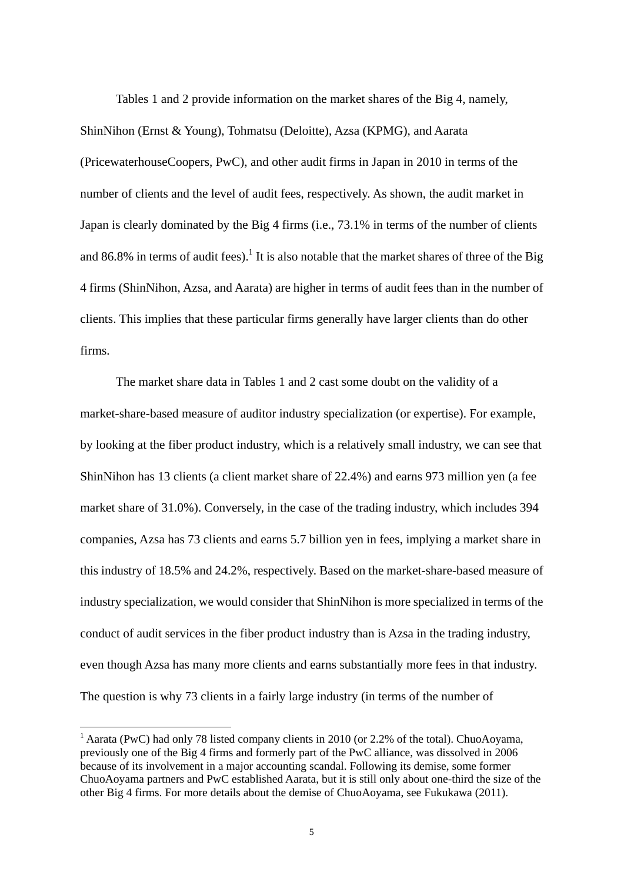Tables 1 and 2 provide information on the market shares of the Big 4, namely,

ShinNihon (Ernst & Young), Tohmatsu (Deloitte), Azsa (KPMG), and Aarata (PricewaterhouseCoopers, PwC), and other audit firms in Japan in 2010 in terms of the number of clients and the level of audit fees, respectively. As shown, the audit market in Japan is clearly dominated by the Big 4 firms (i.e., 73.1% in terms of the number of clients and 86.8% in terms of audit fees).<sup>1</sup> It is also notable that the market shares of three of the Big 4 firms (ShinNihon, Azsa, and Aarata) are higher in terms of audit fees than in the number of clients. This implies that these particular firms generally have larger clients than do other firms.

The market share data in Tables 1 and 2 cast some doubt on the validity of a market-share-based measure of auditor industry specialization (or expertise). For example, by looking at the fiber product industry, which is a relatively small industry, we can see that ShinNihon has 13 clients (a client market share of 22.4%) and earns 973 million yen (a fee market share of 31.0%). Conversely, in the case of the trading industry, which includes 394 companies, Azsa has 73 clients and earns 5.7 billion yen in fees, implying a market share in this industry of 18.5% and 24.2%, respectively. Based on the market-share-based measure of industry specialization, we would consider that ShinNihon is more specialized in terms of the conduct of audit services in the fiber product industry than is Azsa in the trading industry, even though Azsa has many more clients and earns substantially more fees in that industry. The question is why 73 clients in a fairly large industry (in terms of the number of

<sup>&</sup>lt;sup>1</sup> Aarata (PwC) had only 78 listed company clients in 2010 (or 2.2% of the total). ChuoAoyama, previously one of the Big 4 firms and formerly part of the PwC alliance, was dissolved in 2006 because of its involvement in a major accounting scandal. Following its demise, some former ChuoAoyama partners and PwC established Aarata, but it is still only about one-third the size of the other Big 4 firms. For more details about the demise of ChuoAoyama, see Fukukawa (2011).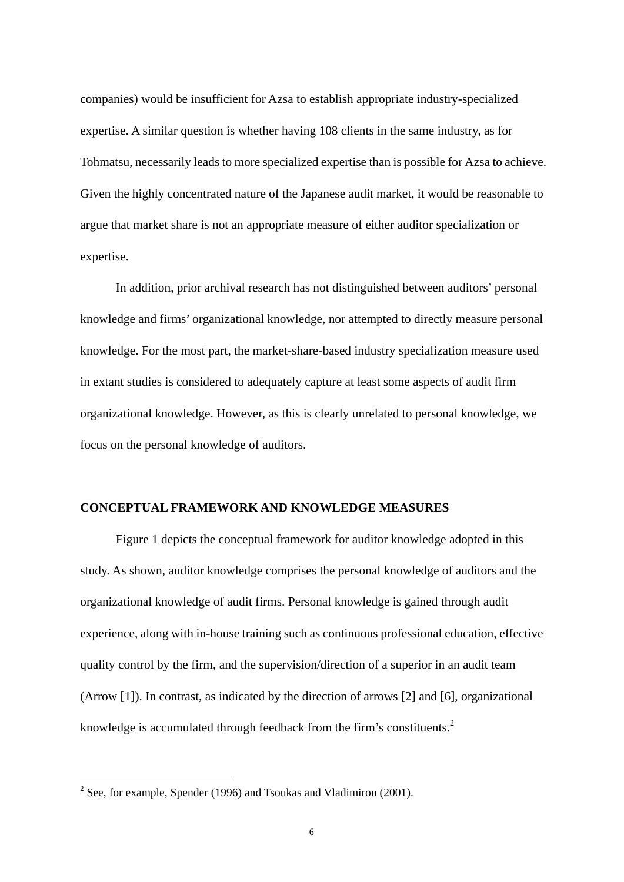companies) would be insufficient for Azsa to establish appropriate industry-specialized expertise. A similar question is whether having 108 clients in the same industry, as for Tohmatsu, necessarily leads to more specialized expertise than is possible for Azsa to achieve. Given the highly concentrated nature of the Japanese audit market, it would be reasonable to argue that market share is not an appropriate measure of either auditor specialization or expertise.

In addition, prior archival research has not distinguished between auditors' personal knowledge and firms' organizational knowledge, nor attempted to directly measure personal knowledge. For the most part, the market-share-based industry specialization measure used in extant studies is considered to adequately capture at least some aspects of audit firm organizational knowledge. However, as this is clearly unrelated to personal knowledge, we focus on the personal knowledge of auditors.

#### **CONCEPTUAL FRAMEWORK AND KNOWLEDGE MEASURES**

Figure 1 depicts the conceptual framework for auditor knowledge adopted in this study. As shown, auditor knowledge comprises the personal knowledge of auditors and the organizational knowledge of audit firms. Personal knowledge is gained through audit experience, along with in-house training such as continuous professional education, effective quality control by the firm, and the supervision/direction of a superior in an audit team (Arrow [1]). In contrast, as indicated by the direction of arrows [2] and [6], organizational knowledge is accumulated through feedback from the firm's constituents.<sup>2</sup>

<sup>&</sup>lt;sup>2</sup> See, for example, Spender (1996) and Tsoukas and Vladimirou (2001).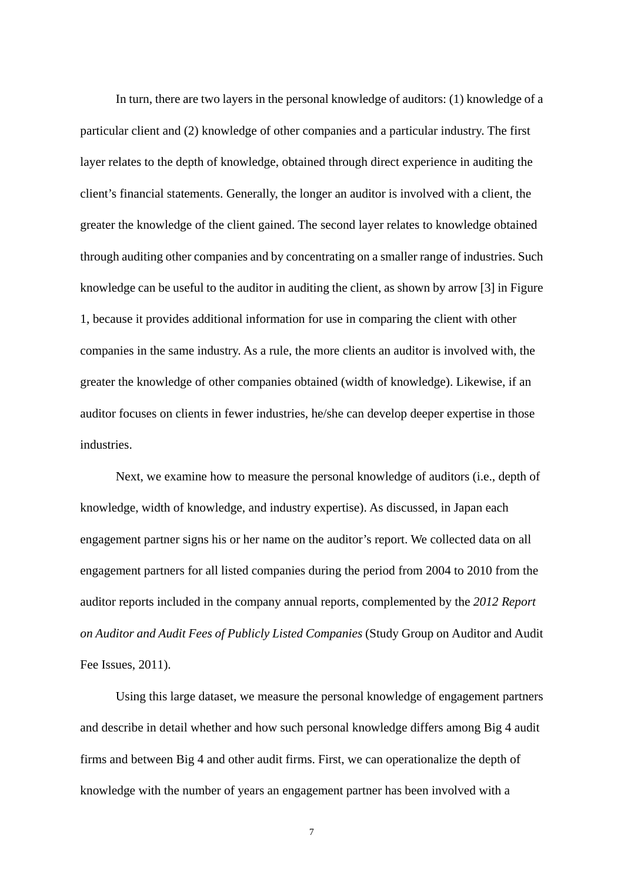In turn, there are two layers in the personal knowledge of auditors: (1) knowledge of a particular client and (2) knowledge of other companies and a particular industry. The first layer relates to the depth of knowledge, obtained through direct experience in auditing the client's financial statements. Generally, the longer an auditor is involved with a client, the greater the knowledge of the client gained. The second layer relates to knowledge obtained through auditing other companies and by concentrating on a smaller range of industries. Such knowledge can be useful to the auditor in auditing the client, as shown by arrow [3] in Figure 1, because it provides additional information for use in comparing the client with other companies in the same industry. As a rule, the more clients an auditor is involved with, the greater the knowledge of other companies obtained (width of knowledge). Likewise, if an auditor focuses on clients in fewer industries, he/she can develop deeper expertise in those industries.

Next, we examine how to measure the personal knowledge of auditors (i.e., depth of knowledge, width of knowledge, and industry expertise). As discussed, in Japan each engagement partner signs his or her name on the auditor's report. We collected data on all engagement partners for all listed companies during the period from 2004 to 2010 from the auditor reports included in the company annual reports, complemented by the *2012 Report on Auditor and Audit Fees of Publicly Listed Companies* (Study Group on Auditor and Audit Fee Issues, 2011).

Using this large dataset, we measure the personal knowledge of engagement partners and describe in detail whether and how such personal knowledge differs among Big 4 audit firms and between Big 4 and other audit firms. First, we can operationalize the depth of knowledge with the number of years an engagement partner has been involved with a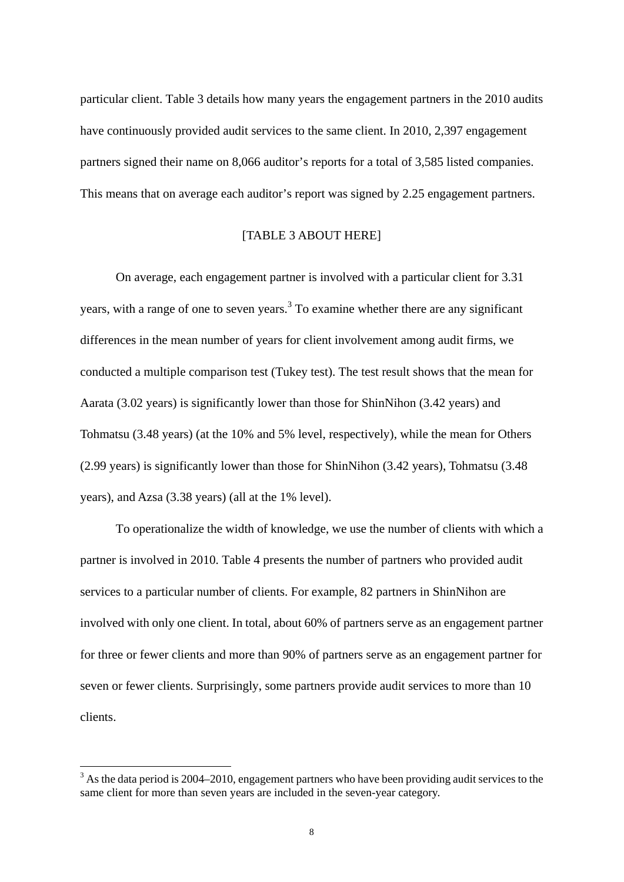particular client. Table 3 details how many years the engagement partners in the 2010 audits have continuously provided audit services to the same client. In 2010, 2,397 engagement partners signed their name on 8,066 auditor's reports for a total of 3,585 listed companies. This means that on average each auditor's report was signed by 2.25 engagement partners.

# [TABLE 3 ABOUT HERE]

On average, each engagement partner is involved with a particular client for 3.31 years, with a range of one to seven years. $3$  To examine whether there are any significant differences in the mean number of years for client involvement among audit firms, we conducted a multiple comparison test (Tukey test). The test result shows that the mean for Aarata (3.02 years) is significantly lower than those for ShinNihon (3.42 years) and Tohmatsu (3.48 years) (at the 10% and 5% level, respectively), while the mean for Others (2.99 years) is significantly lower than those for ShinNihon (3.42 years), Tohmatsu (3.48 years), and Azsa (3.38 years) (all at the 1% level).

To operationalize the width of knowledge, we use the number of clients with which a partner is involved in 2010. Table 4 presents the number of partners who provided audit services to a particular number of clients. For example, 82 partners in ShinNihon are involved with only one client. In total, about 60% of partners serve as an engagement partner for three or fewer clients and more than 90% of partners serve as an engagement partner for seven or fewer clients. Surprisingly, some partners provide audit services to more than 10 clients.

 $3$  As the data period is 2004–2010, engagement partners who have been providing audit services to the same client for more than seven years are included in the seven-year category.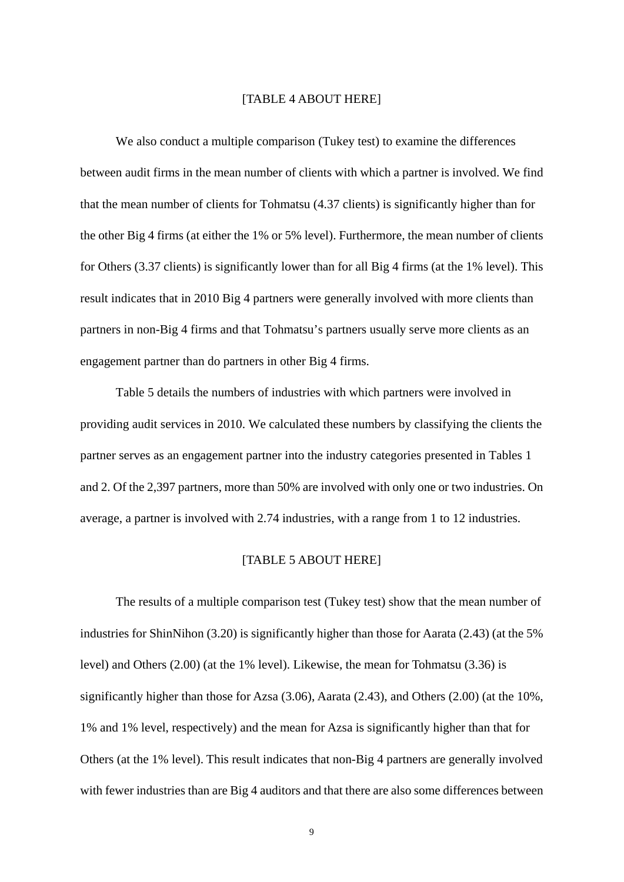#### [TABLE 4 ABOUT HERE]

We also conduct a multiple comparison (Tukey test) to examine the differences between audit firms in the mean number of clients with which a partner is involved. We find that the mean number of clients for Tohmatsu (4.37 clients) is significantly higher than for the other Big 4 firms (at either the 1% or 5% level). Furthermore, the mean number of clients for Others (3.37 clients) is significantly lower than for all Big 4 firms (at the 1% level). This result indicates that in 2010 Big 4 partners were generally involved with more clients than partners in non-Big 4 firms and that Tohmatsu's partners usually serve more clients as an engagement partner than do partners in other Big 4 firms.

Table 5 details the numbers of industries with which partners were involved in providing audit services in 2010. We calculated these numbers by classifying the clients the partner serves as an engagement partner into the industry categories presented in Tables 1 and 2. Of the 2,397 partners, more than 50% are involved with only one or two industries. On average, a partner is involved with 2.74 industries, with a range from 1 to 12 industries.

## [TABLE 5 ABOUT HERE]

The results of a multiple comparison test (Tukey test) show that the mean number of industries for ShinNihon (3.20) is significantly higher than those for Aarata (2.43) (at the 5% level) and Others (2.00) (at the 1% level). Likewise, the mean for Tohmatsu (3.36) is significantly higher than those for Azsa (3.06), Aarata (2.43), and Others (2.00) (at the 10%, 1% and 1% level, respectively) and the mean for Azsa is significantly higher than that for Others (at the 1% level). This result indicates that non-Big 4 partners are generally involved with fewer industries than are Big 4 auditors and that there are also some differences between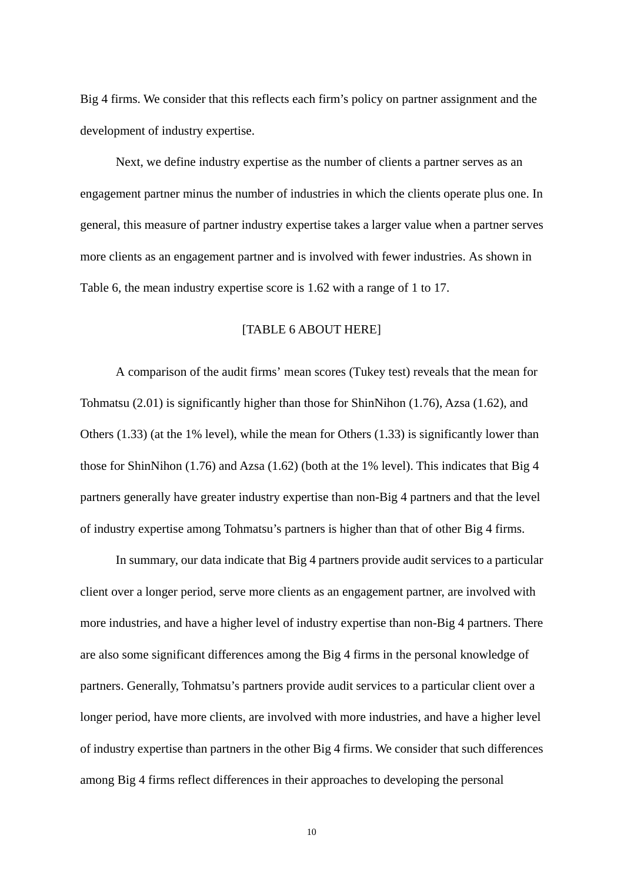Big 4 firms. We consider that this reflects each firm's policy on partner assignment and the development of industry expertise.

Next, we define industry expertise as the number of clients a partner serves as an engagement partner minus the number of industries in which the clients operate plus one. In general, this measure of partner industry expertise takes a larger value when a partner serves more clients as an engagement partner and is involved with fewer industries. As shown in Table 6, the mean industry expertise score is 1.62 with a range of 1 to 17.

## [TABLE 6 ABOUT HERE]

A comparison of the audit firms' mean scores (Tukey test) reveals that the mean for Tohmatsu (2.01) is significantly higher than those for ShinNihon (1.76), Azsa (1.62), and Others (1.33) (at the 1% level), while the mean for Others (1.33) is significantly lower than those for ShinNihon (1.76) and Azsa (1.62) (both at the 1% level). This indicates that Big 4 partners generally have greater industry expertise than non-Big 4 partners and that the level of industry expertise among Tohmatsu's partners is higher than that of other Big 4 firms.

In summary, our data indicate that Big 4 partners provide audit services to a particular client over a longer period, serve more clients as an engagement partner, are involved with more industries, and have a higher level of industry expertise than non-Big 4 partners. There are also some significant differences among the Big 4 firms in the personal knowledge of partners. Generally, Tohmatsu's partners provide audit services to a particular client over a longer period, have more clients, are involved with more industries, and have a higher level of industry expertise than partners in the other Big 4 firms. We consider that such differences among Big 4 firms reflect differences in their approaches to developing the personal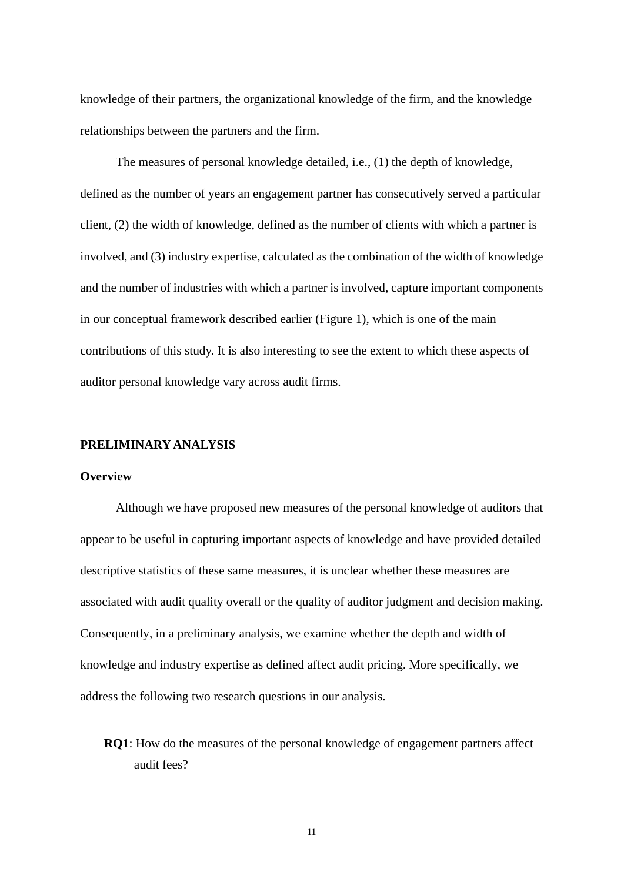knowledge of their partners, the organizational knowledge of the firm, and the knowledge relationships between the partners and the firm.

The measures of personal knowledge detailed, i.e., (1) the depth of knowledge, defined as the number of years an engagement partner has consecutively served a particular client, (2) the width of knowledge, defined as the number of clients with which a partner is involved, and (3) industry expertise, calculated as the combination of the width of knowledge and the number of industries with which a partner is involved, capture important components in our conceptual framework described earlier (Figure 1), which is one of the main contributions of this study. It is also interesting to see the extent to which these aspects of auditor personal knowledge vary across audit firms.

## **PRELIMINARY ANALYSIS**

#### **Overview**

Although we have proposed new measures of the personal knowledge of auditors that appear to be useful in capturing important aspects of knowledge and have provided detailed descriptive statistics of these same measures, it is unclear whether these measures are associated with audit quality overall or the quality of auditor judgment and decision making. Consequently, in a preliminary analysis, we examine whether the depth and width of knowledge and industry expertise as defined affect audit pricing. More specifically, we address the following two research questions in our analysis.

**RQ1**: How do the measures of the personal knowledge of engagement partners affect audit fees?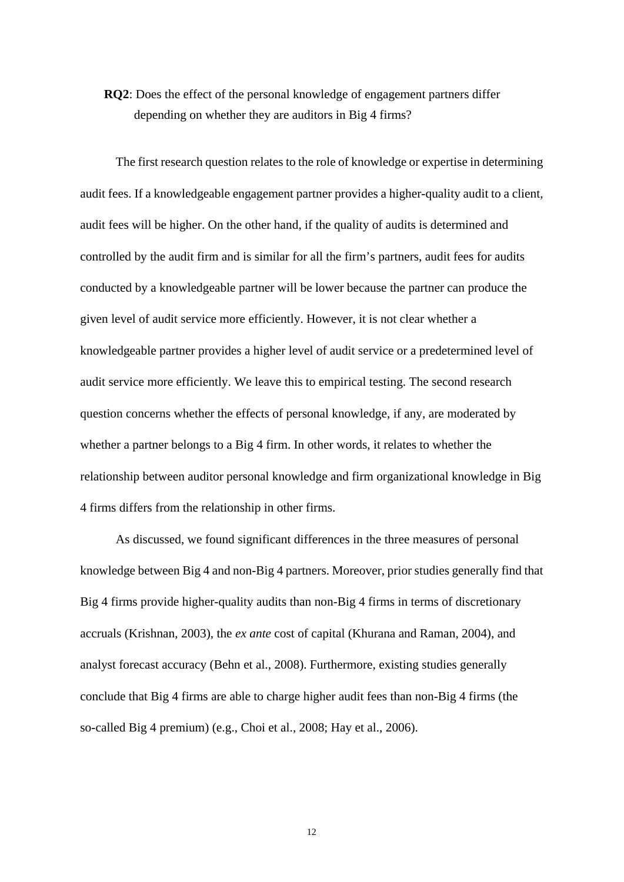# **RQ2**: Does the effect of the personal knowledge of engagement partners differ depending on whether they are auditors in Big 4 firms?

The first research question relates to the role of knowledge or expertise in determining audit fees. If a knowledgeable engagement partner provides a higher-quality audit to a client, audit fees will be higher. On the other hand, if the quality of audits is determined and controlled by the audit firm and is similar for all the firm's partners, audit fees for audits conducted by a knowledgeable partner will be lower because the partner can produce the given level of audit service more efficiently. However, it is not clear whether a knowledgeable partner provides a higher level of audit service or a predetermined level of audit service more efficiently. We leave this to empirical testing. The second research question concerns whether the effects of personal knowledge, if any, are moderated by whether a partner belongs to a Big 4 firm. In other words, it relates to whether the relationship between auditor personal knowledge and firm organizational knowledge in Big 4 firms differs from the relationship in other firms.

As discussed, we found significant differences in the three measures of personal knowledge between Big 4 and non-Big 4 partners. Moreover, prior studies generally find that Big 4 firms provide higher-quality audits than non-Big 4 firms in terms of discretionary accruals (Krishnan, 2003), the *ex ante* cost of capital (Khurana and Raman, 2004), and analyst forecast accuracy (Behn et al., 2008). Furthermore, existing studies generally conclude that Big 4 firms are able to charge higher audit fees than non-Big 4 firms (the so-called Big 4 premium) (e.g., Choi et al., 2008; Hay et al., 2006).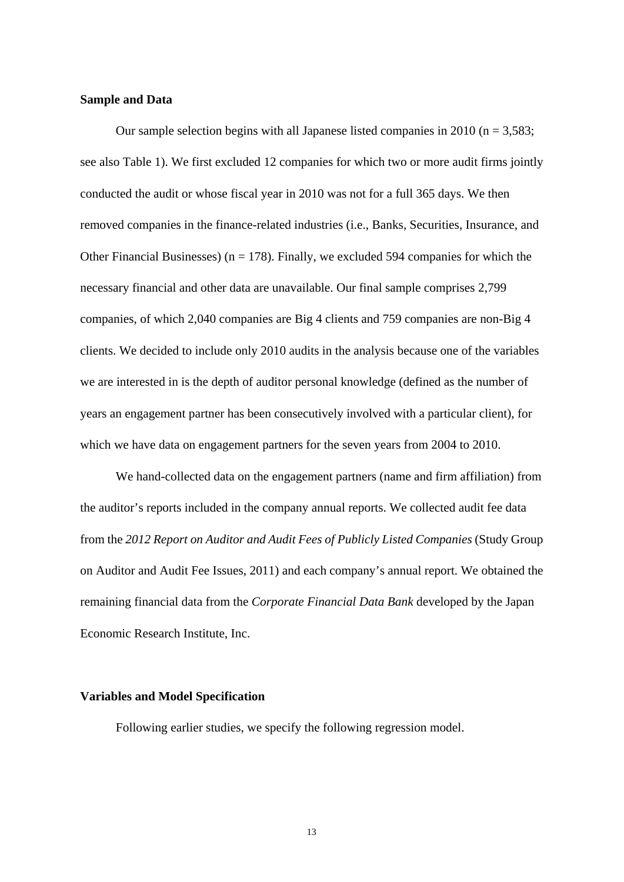## **Sample and Data**

Our sample selection begins with all Japanese listed companies in 2010 ( $n = 3,583$ ; see also Table 1). We first excluded 12 companies for which two or more audit firms jointly conducted the audit or whose fiscal year in 2010 was not for a full 365 days. We then removed companies in the finance-related industries (i.e., Banks, Securities, Insurance, and Other Financial Businesses) ( $n = 178$ ). Finally, we excluded 594 companies for which the necessary financial and other data are unavailable. Our final sample comprises 2,799 companies, of which 2,040 companies are Big 4 clients and 759 companies are non-Big 4 clients. We decided to include only 2010 audits in the analysis because one of the variables we are interested in is the depth of auditor personal knowledge (defined as the number of years an engagement partner has been consecutively involved with a particular client), for which we have data on engagement partners for the seven years from 2004 to 2010.

We hand-collected data on the engagement partners (name and firm affiliation) from the auditor's reports included in the company annual reports. We collected audit fee data from the *2012 Report on Auditor and Audit Fees of Publicly Listed Companies* (Study Group on Auditor and Audit Fee Issues, 2011) and each company's annual report. We obtained the remaining financial data from the *Corporate Financial Data Bank* developed by the Japan Economic Research Institute, Inc.

## **Variables and Model Specification**

Following earlier studies, we specify the following regression model.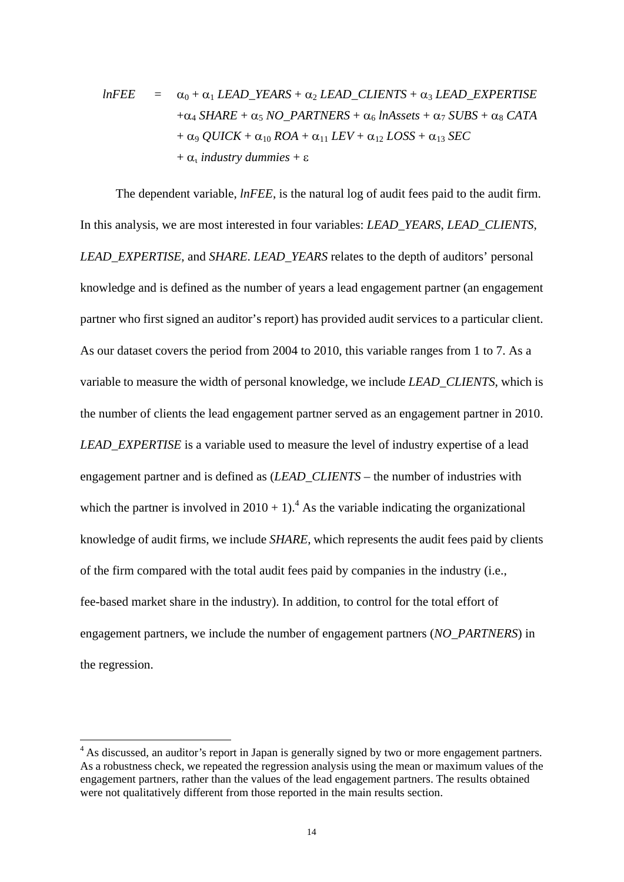$$
lnFEE = \alpha_0 + \alpha_1 LEAD_YEARS + \alpha_2 LEAD_CLIENTS + \alpha_3 LEAD_EXPERTISE
$$
  
+ $\alpha_4 SHARE + \alpha_5 NO_PARTNERS + \alpha_6 InAssets + \alpha_7 SUBS + \alpha_8 CATA$   
+ $\alpha_9 QUICK + \alpha_{10} ROA + \alpha_{11} LEV + \alpha_{12} LOSS + \alpha_{13} SEC$   
+ $\alpha_1$  industry dummies +  $\varepsilon$ 

The dependent variable, *lnFEE*, is the natural log of audit fees paid to the audit firm. In this analysis, we are most interested in four variables: *LEAD\_YEARS*, *LEAD\_CLIENTS*, *LEAD\_EXPERTISE*, and *SHARE*. *LEAD\_YEARS* relates to the depth of auditors' personal knowledge and is defined as the number of years a lead engagement partner (an engagement partner who first signed an auditor's report) has provided audit services to a particular client. As our dataset covers the period from 2004 to 2010, this variable ranges from 1 to 7. As a variable to measure the width of personal knowledge, we include *LEAD\_CLIENTS*, which is the number of clients the lead engagement partner served as an engagement partner in 2010. *LEAD\_EXPERTISE* is a variable used to measure the level of industry expertise of a lead engagement partner and is defined as (*LEAD\_CLIENTS* – the number of industries with which the partner is involved in  $2010 + 1$ .<sup>4</sup> As the variable indicating the organizational knowledge of audit firms, we include *SHARE*, which represents the audit fees paid by clients of the firm compared with the total audit fees paid by companies in the industry (i.e., fee-based market share in the industry). In addition, to control for the total effort of engagement partners, we include the number of engagement partners (*NO\_PARTNERS*) in the regression.

 $\overline{a}$ 

<sup>&</sup>lt;sup>4</sup> As discussed, an auditor's report in Japan is generally signed by two or more engagement partners. As a robustness check, we repeated the regression analysis using the mean or maximum values of the engagement partners, rather than the values of the lead engagement partners. The results obtained were not qualitatively different from those reported in the main results section.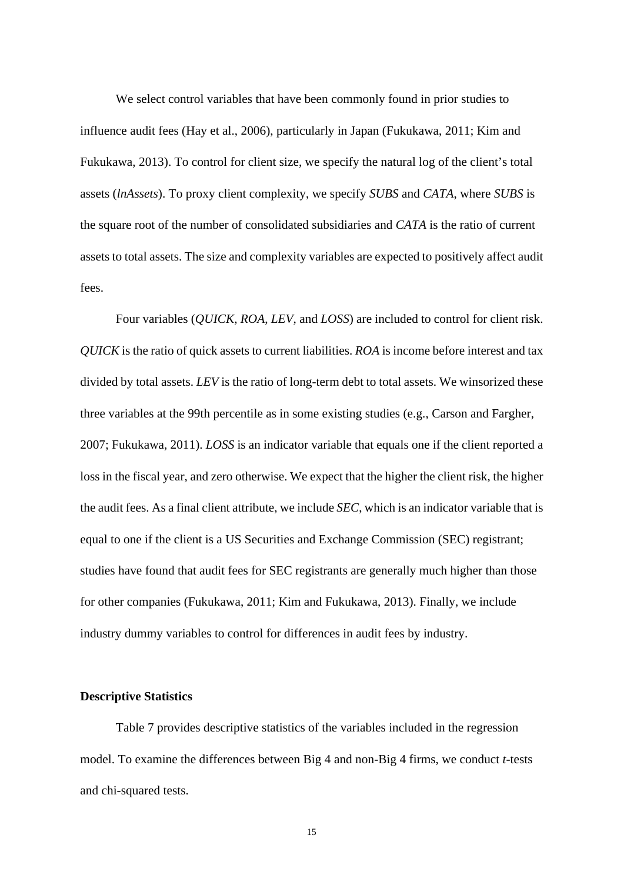We select control variables that have been commonly found in prior studies to influence audit fees (Hay et al., 2006), particularly in Japan (Fukukawa, 2011; Kim and Fukukawa, 2013). To control for client size, we specify the natural log of the client's total assets (*lnAssets*). To proxy client complexity, we specify *SUBS* and *CATA*, where *SUBS* is the square root of the number of consolidated subsidiaries and *CATA* is the ratio of current assets to total assets. The size and complexity variables are expected to positively affect audit fees.

Four variables (*QUICK*, *ROA*, *LEV*, and *LOSS*) are included to control for client risk. *QUICK* is the ratio of quick assets to current liabilities. *ROA* is income before interest and tax divided by total assets. *LEV* is the ratio of long-term debt to total assets. We winsorized these three variables at the 99th percentile as in some existing studies (e.g., Carson and Fargher, 2007; Fukukawa, 2011). *LOSS* is an indicator variable that equals one if the client reported a loss in the fiscal year, and zero otherwise. We expect that the higher the client risk, the higher the audit fees. As a final client attribute, we include *SEC*, which is an indicator variable that is equal to one if the client is a US Securities and Exchange Commission (SEC) registrant; studies have found that audit fees for SEC registrants are generally much higher than those for other companies (Fukukawa, 2011; Kim and Fukukawa, 2013). Finally, we include industry dummy variables to control for differences in audit fees by industry.

## **Descriptive Statistics**

Table 7 provides descriptive statistics of the variables included in the regression model. To examine the differences between Big 4 and non-Big 4 firms, we conduct *t*-tests and chi-squared tests.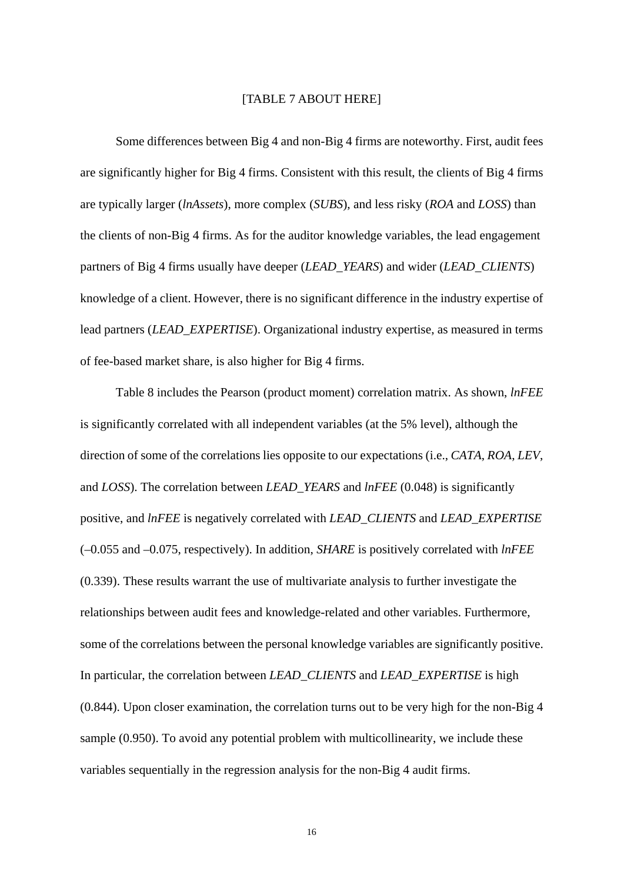## [TABLE 7 ABOUT HERE]

Some differences between Big 4 and non-Big 4 firms are noteworthy. First, audit fees are significantly higher for Big 4 firms. Consistent with this result, the clients of Big 4 firms are typically larger (*lnAssets*), more complex (*SUBS*), and less risky (*ROA* and *LOSS*) than the clients of non-Big 4 firms. As for the auditor knowledge variables, the lead engagement partners of Big 4 firms usually have deeper (*LEAD\_YEARS*) and wider (*LEAD\_CLIENTS*) knowledge of a client. However, there is no significant difference in the industry expertise of lead partners (*LEAD\_EXPERTISE*). Organizational industry expertise, as measured in terms of fee-based market share, is also higher for Big 4 firms.

Table 8 includes the Pearson (product moment) correlation matrix. As shown, *lnFEE* is significantly correlated with all independent variables (at the 5% level), although the direction of some of the correlations lies opposite to our expectations (i.e., *CATA*, *ROA*, *LEV*, and *LOSS*). The correlation between *LEAD\_YEARS* and *lnFEE* (0.048) is significantly positive, and *lnFEE* is negatively correlated with *LEAD\_CLIENTS* and *LEAD\_EXPERTISE* (–0.055 and –0.075, respectively). In addition, *SHARE* is positively correlated with *lnFEE*  (0.339). These results warrant the use of multivariate analysis to further investigate the relationships between audit fees and knowledge-related and other variables. Furthermore, some of the correlations between the personal knowledge variables are significantly positive. In particular, the correlation between *LEAD\_CLIENTS* and *LEAD\_EXPERTISE* is high (0.844). Upon closer examination, the correlation turns out to be very high for the non-Big 4 sample (0.950). To avoid any potential problem with multicollinearity, we include these variables sequentially in the regression analysis for the non-Big 4 audit firms.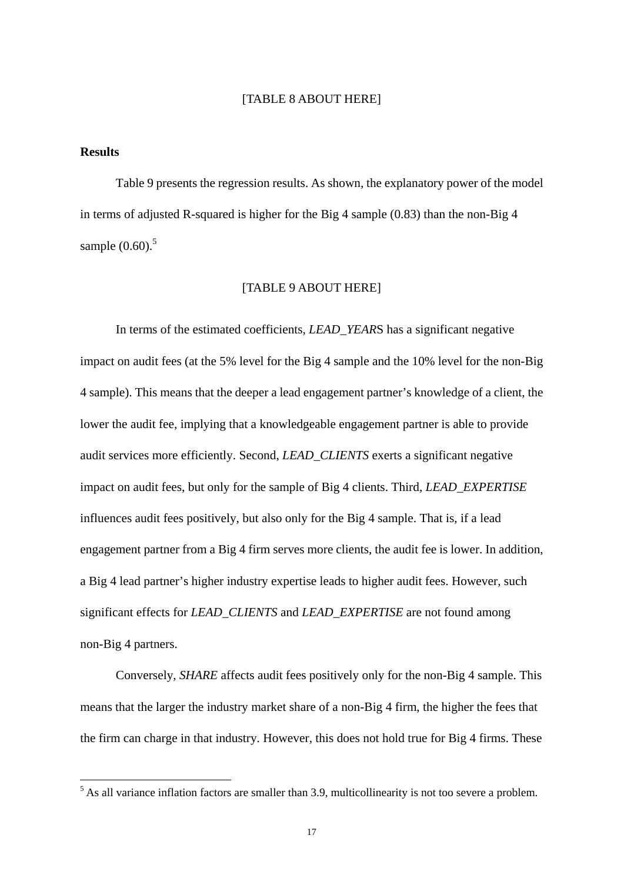## [TABLE 8 ABOUT HERE]

### **Results**

Table 9 presents the regression results. As shown, the explanatory power of the model in terms of adjusted R-squared is higher for the Big 4 sample (0.83) than the non-Big 4 sample  $(0.60)$ .<sup>5</sup>

#### [TABLE 9 ABOUT HERE]

In terms of the estimated coefficients, *LEAD\_YEAR*S has a significant negative impact on audit fees (at the 5% level for the Big 4 sample and the 10% level for the non-Big 4 sample). This means that the deeper a lead engagement partner's knowledge of a client, the lower the audit fee, implying that a knowledgeable engagement partner is able to provide audit services more efficiently. Second, *LEAD\_CLIENTS* exerts a significant negative impact on audit fees, but only for the sample of Big 4 clients. Third, *LEAD\_EXPERTISE* influences audit fees positively, but also only for the Big 4 sample. That is, if a lead engagement partner from a Big 4 firm serves more clients, the audit fee is lower. In addition, a Big 4 lead partner's higher industry expertise leads to higher audit fees. However, such significant effects for *LEAD\_CLIENTS* and *LEAD\_EXPERTISE* are not found among non-Big 4 partners.

Conversely, *SHARE* affects audit fees positively only for the non-Big 4 sample. This means that the larger the industry market share of a non-Big 4 firm, the higher the fees that the firm can charge in that industry. However, this does not hold true for Big 4 firms. These

<sup>&</sup>lt;sup>5</sup> As all variance inflation factors are smaller than 3.9, multicollinearity is not too severe a problem.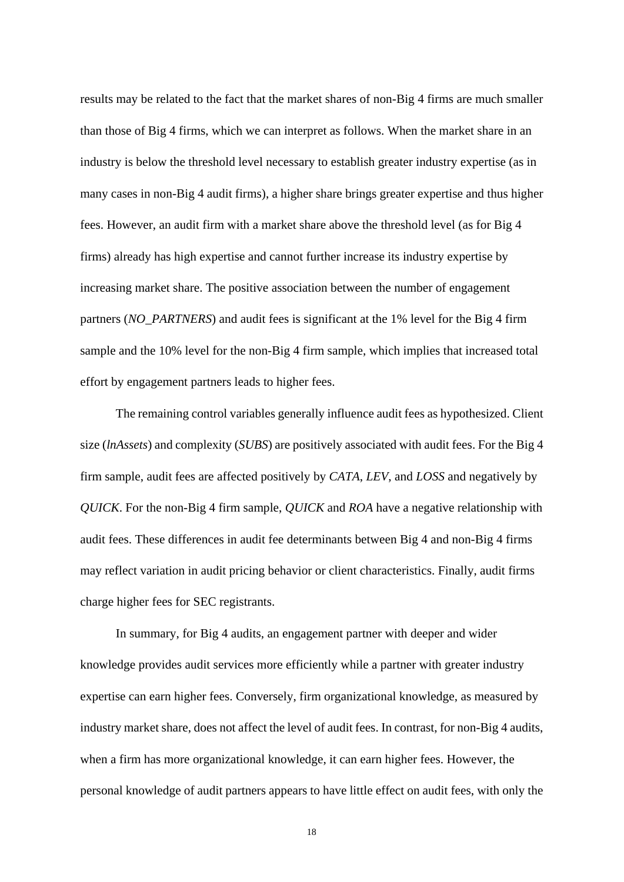results may be related to the fact that the market shares of non-Big 4 firms are much smaller than those of Big 4 firms, which we can interpret as follows. When the market share in an industry is below the threshold level necessary to establish greater industry expertise (as in many cases in non-Big 4 audit firms), a higher share brings greater expertise and thus higher fees. However, an audit firm with a market share above the threshold level (as for Big 4 firms) already has high expertise and cannot further increase its industry expertise by increasing market share. The positive association between the number of engagement partners (*NO\_PARTNERS*) and audit fees is significant at the 1% level for the Big 4 firm sample and the 10% level for the non-Big 4 firm sample, which implies that increased total effort by engagement partners leads to higher fees.

The remaining control variables generally influence audit fees as hypothesized. Client size (*lnAssets*) and complexity (*SUBS*) are positively associated with audit fees. For the Big 4 firm sample, audit fees are affected positively by *CATA*, *LEV*, and *LOSS* and negatively by *QUICK*. For the non-Big 4 firm sample, *QUICK* and *ROA* have a negative relationship with audit fees. These differences in audit fee determinants between Big 4 and non-Big 4 firms may reflect variation in audit pricing behavior or client characteristics. Finally, audit firms charge higher fees for SEC registrants.

In summary, for Big 4 audits, an engagement partner with deeper and wider knowledge provides audit services more efficiently while a partner with greater industry expertise can earn higher fees. Conversely, firm organizational knowledge, as measured by industry market share, does not affect the level of audit fees. In contrast, for non-Big 4 audits, when a firm has more organizational knowledge, it can earn higher fees. However, the personal knowledge of audit partners appears to have little effect on audit fees, with only the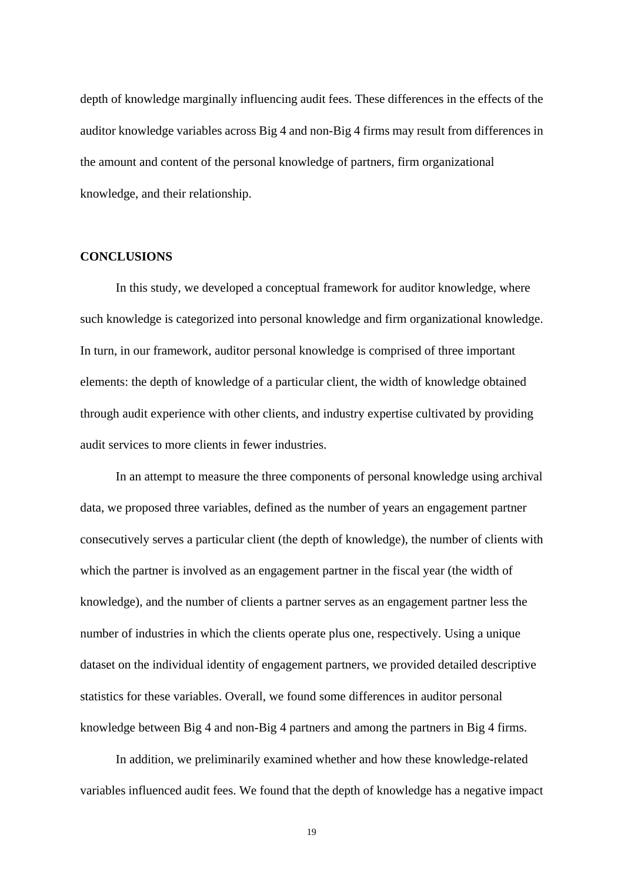depth of knowledge marginally influencing audit fees. These differences in the effects of the auditor knowledge variables across Big 4 and non-Big 4 firms may result from differences in the amount and content of the personal knowledge of partners, firm organizational knowledge, and their relationship.

## **CONCLUSIONS**

In this study, we developed a conceptual framework for auditor knowledge, where such knowledge is categorized into personal knowledge and firm organizational knowledge. In turn, in our framework, auditor personal knowledge is comprised of three important elements: the depth of knowledge of a particular client, the width of knowledge obtained through audit experience with other clients, and industry expertise cultivated by providing audit services to more clients in fewer industries.

In an attempt to measure the three components of personal knowledge using archival data, we proposed three variables, defined as the number of years an engagement partner consecutively serves a particular client (the depth of knowledge), the number of clients with which the partner is involved as an engagement partner in the fiscal year (the width of knowledge), and the number of clients a partner serves as an engagement partner less the number of industries in which the clients operate plus one, respectively. Using a unique dataset on the individual identity of engagement partners, we provided detailed descriptive statistics for these variables. Overall, we found some differences in auditor personal knowledge between Big 4 and non-Big 4 partners and among the partners in Big 4 firms.

In addition, we preliminarily examined whether and how these knowledge-related variables influenced audit fees. We found that the depth of knowledge has a negative impact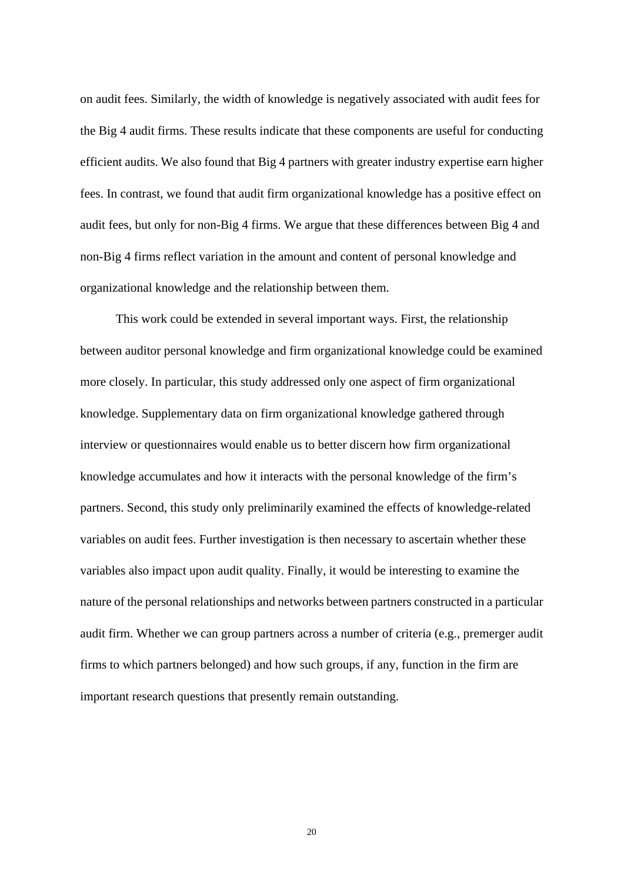on audit fees. Similarly, the width of knowledge is negatively associated with audit fees for the Big 4 audit firms. These results indicate that these components are useful for conducting efficient audits. We also found that Big 4 partners with greater industry expertise earn higher fees. In contrast, we found that audit firm organizational knowledge has a positive effect on audit fees, but only for non-Big 4 firms. We argue that these differences between Big 4 and non-Big 4 firms reflect variation in the amount and content of personal knowledge and organizational knowledge and the relationship between them.

This work could be extended in several important ways. First, the relationship between auditor personal knowledge and firm organizational knowledge could be examined more closely. In particular, this study addressed only one aspect of firm organizational knowledge. Supplementary data on firm organizational knowledge gathered through interview or questionnaires would enable us to better discern how firm organizational knowledge accumulates and how it interacts with the personal knowledge of the firm's partners. Second, this study only preliminarily examined the effects of knowledge-related variables on audit fees. Further investigation is then necessary to ascertain whether these variables also impact upon audit quality. Finally, it would be interesting to examine the nature of the personal relationships and networks between partners constructed in a particular audit firm. Whether we can group partners across a number of criteria (e.g., premerger audit firms to which partners belonged) and how such groups, if any, function in the firm are important research questions that presently remain outstanding.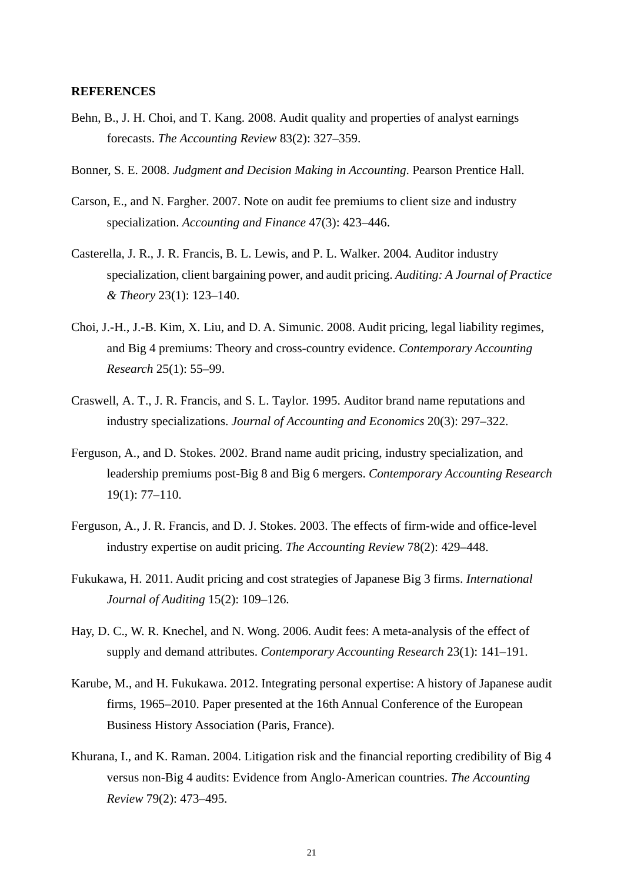#### **REFERENCES**

- Behn, B., J. H. Choi, and T. Kang. 2008. Audit quality and properties of analyst earnings forecasts. *The Accounting Review* 83(2): 327–359.
- Bonner, S. E. 2008. *Judgment and Decision Making in Accounting*. Pearson Prentice Hall.
- Carson, E., and N. Fargher. 2007. Note on audit fee premiums to client size and industry specialization. *Accounting and Finance* 47(3): 423–446.
- Casterella, J. R., J. R. Francis, B. L. Lewis, and P. L. Walker. 2004. Auditor industry specialization, client bargaining power, and audit pricing. *Auditing: A Journal of Practice & Theory* 23(1): 123–140.
- Choi, J.-H., J.-B. Kim, X. Liu, and D. A. Simunic. 2008. Audit pricing, legal liability regimes, and Big 4 premiums: Theory and cross-country evidence. *Contemporary Accounting Research* 25(1): 55–99.
- Craswell, A. T., J. R. Francis, and S. L. Taylor. 1995. Auditor brand name reputations and industry specializations. *Journal of Accounting and Economics* 20(3): 297–322.
- Ferguson, A., and D. Stokes. 2002. Brand name audit pricing, industry specialization, and leadership premiums post-Big 8 and Big 6 mergers. *Contemporary Accounting Research* 19(1): 77–110.
- Ferguson, A., J. R. Francis, and D. J. Stokes. 2003. The effects of firm-wide and office-level industry expertise on audit pricing. *The Accounting Review* 78(2): 429–448.
- Fukukawa, H. 2011. Audit pricing and cost strategies of Japanese Big 3 firms. *International Journal of Auditing* 15(2): 109–126.
- Hay, D. C., W. R. Knechel, and N. Wong. 2006. Audit fees: A meta-analysis of the effect of supply and demand attributes. *Contemporary Accounting Research* 23(1): 141–191.
- Karube, M., and H. Fukukawa. 2012. Integrating personal expertise: A history of Japanese audit firms, 1965–2010. Paper presented at the 16th Annual Conference of the European Business History Association (Paris, France).
- Khurana, I., and K. Raman. 2004. Litigation risk and the financial reporting credibility of Big 4 versus non-Big 4 audits: Evidence from Anglo-American countries. *The Accounting Review* 79(2): 473–495.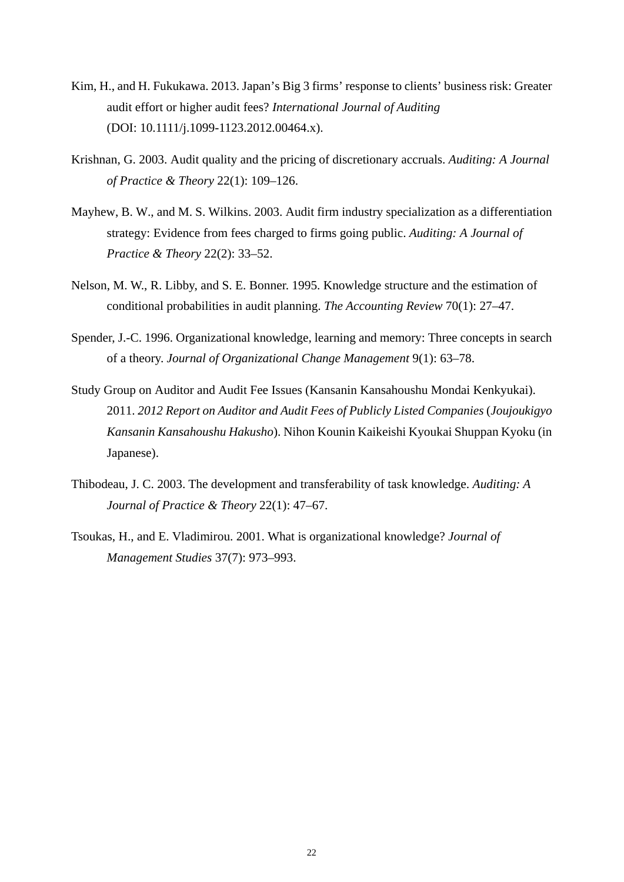- Kim, H., and H. Fukukawa. 2013. Japan's Big 3 firms' response to clients' business risk: Greater audit effort or higher audit fees? *International Journal of Auditing* (DOI: 10.1111/j.1099-1123.2012.00464.x).
- Krishnan, G. 2003. Audit quality and the pricing of discretionary accruals. *Auditing: A Journal of Practice & Theory* 22(1): 109–126.
- Mayhew, B. W., and M. S. Wilkins. 2003. Audit firm industry specialization as a differentiation strategy: Evidence from fees charged to firms going public. *Auditing: A Journal of Practice & Theory* 22(2): 33–52.
- Nelson, M. W., R. Libby, and S. E. Bonner. 1995. Knowledge structure and the estimation of conditional probabilities in audit planning. *The Accounting Review* 70(1): 27–47.
- Spender, J.-C. 1996. Organizational knowledge, learning and memory: Three concepts in search of a theory. *Journal of Organizational Change Management* 9(1): 63–78.
- Study Group on Auditor and Audit Fee Issues (Kansanin Kansahoushu Mondai Kenkyukai). 2011. *2012 Report on Auditor and Audit Fees of Publicly Listed Companies* (*Joujoukigyo Kansanin Kansahoushu Hakusho*). Nihon Kounin Kaikeishi Kyoukai Shuppan Kyoku (in Japanese).
- Thibodeau, J. C. 2003. The development and transferability of task knowledge. *Auditing: A Journal of Practice & Theory* 22(1): 47–67.
- Tsoukas, H., and E. Vladimirou. 2001. What is organizational knowledge? *Journal of Management Studies* 37(7): 973–993.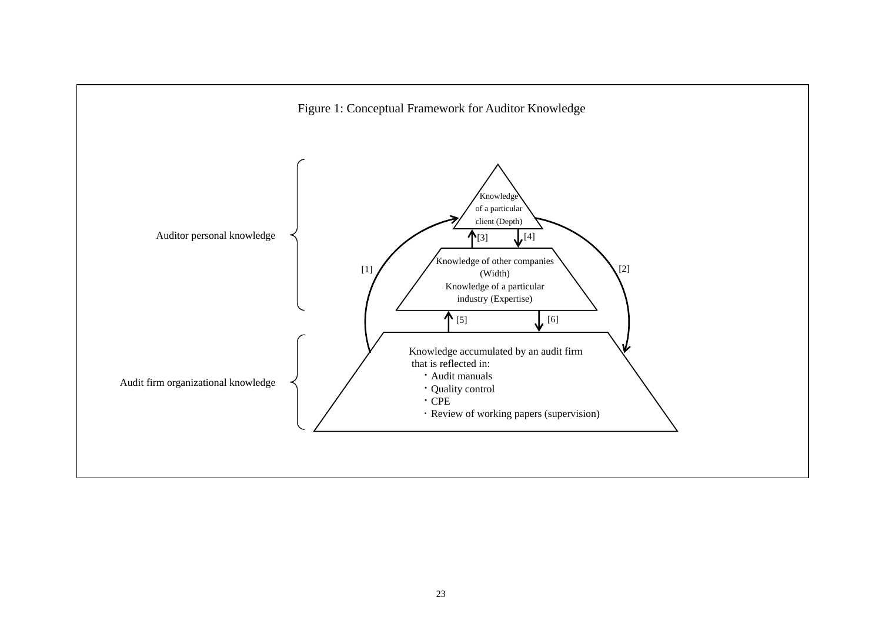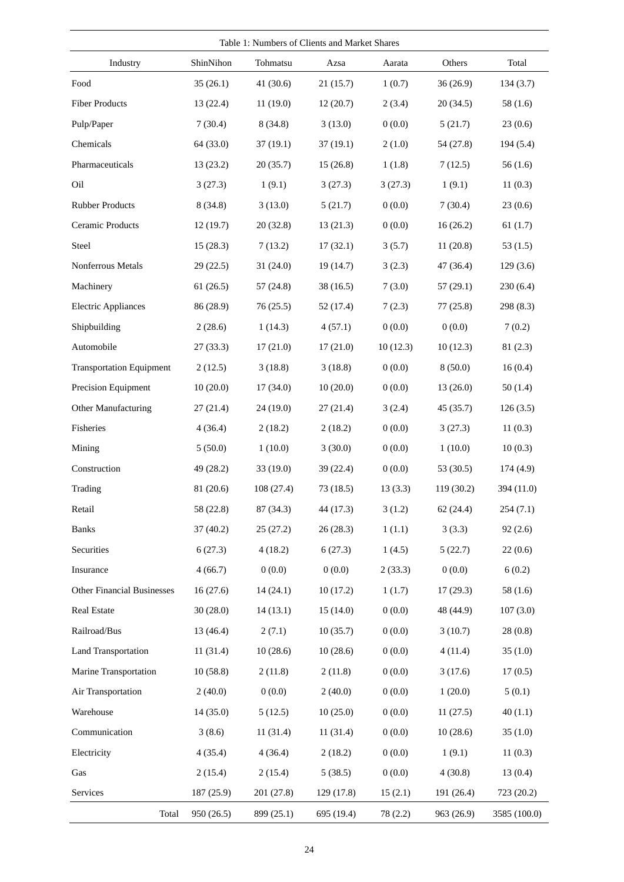| Table 1: Numbers of Clients and Market Shares |            |             |            |          |            |              |  |  |  |
|-----------------------------------------------|------------|-------------|------------|----------|------------|--------------|--|--|--|
| Industry                                      | ShinNihon  | Tohmatsu    | Azsa       | Aarata   | Others     | Total        |  |  |  |
| Food                                          | 35(26.1)   | 41 $(30.6)$ | 21(15.7)   | 1(0.7)   | 36(26.9)   | 134(3.7)     |  |  |  |
| <b>Fiber Products</b>                         | 13(22.4)   | 11(19.0)    | 12(20.7)   | 2(3.4)   | 20(34.5)   | 58(1.6)      |  |  |  |
| Pulp/Paper                                    | 7(30.4)    | 8(34.8)     | 3(13.0)    | 0(0.0)   | 5(21.7)    | 23(0.6)      |  |  |  |
| Chemicals                                     | 64 (33.0)  | 37(19.1)    | 37(19.1)   | 2(1.0)   | 54 (27.8)  | 194(5.4)     |  |  |  |
| Pharmaceuticals                               | 13(23.2)   | 20(35.7)    | 15(26.8)   | 1(1.8)   | 7(12.5)    | 56(1.6)      |  |  |  |
| Oil                                           | 3(27.3)    | 1(9.1)      | 3(27.3)    | 3(27.3)  | 1(9.1)     | 11(0.3)      |  |  |  |
| <b>Rubber Products</b>                        | 8(34.8)    | 3(13.0)     | 5(21.7)    | 0(0.0)   | 7(30.4)    | 23(0.6)      |  |  |  |
| Ceramic Products                              | 12(19.7)   | 20(32.8)    | 13(21.3)   | 0(0.0)   | 16(26.2)   | 61(1.7)      |  |  |  |
| Steel                                         | 15(28.3)   | 7(13.2)     | 17(32.1)   | 3(5.7)   | 11(20.8)   | 53(1.5)      |  |  |  |
| Nonferrous Metals                             | 29 (22.5)  | 31 (24.0)   | 19 (14.7)  | 3(2.3)   | 47 (36.4)  | 129(3.6)     |  |  |  |
| Machinery                                     | 61(26.5)   | 57(24.8)    | 38(16.5)   | 7(3.0)   | 57(29.1)   | 230(6.4)     |  |  |  |
| <b>Electric Appliances</b>                    | 86 (28.9)  | 76(25.5)    | 52(17.4)   | 7(2.3)   | 77(25.8)   | 298 (8.3)    |  |  |  |
| Shipbuilding                                  | 2(28.6)    | 1(14.3)     | 4(57.1)    | 0(0.0)   | 0(0.0)     | 7(0.2)       |  |  |  |
| Automobile                                    | 27(33.3)   | 17(21.0)    | 17(21.0)   | 10(12.3) | 10(12.3)   | 81(2.3)      |  |  |  |
| <b>Transportation Equipment</b>               | 2(12.5)    | 3(18.8)     | 3(18.8)    | 0(0.0)   | 8(50.0)    | 16(0.4)      |  |  |  |
| Precision Equipment                           | 10(20.0)   | 17(34.0)    | 10(20.0)   | 0(0.0)   | 13(26.0)   | 50(1.4)      |  |  |  |
| Other Manufacturing                           | 27(21.4)   | 24 (19.0)   | 27(21.4)   | 3(2.4)   | 45 (35.7)  | 126(3.5)     |  |  |  |
| Fisheries                                     | 4(36.4)    | 2(18.2)     | 2(18.2)    | 0(0.0)   | 3(27.3)    | 11(0.3)      |  |  |  |
| Mining                                        | 5(50.0)    | 1(10.0)     | 3(30.0)    | 0(0.0)   | 1(10.0)    | 10(0.3)      |  |  |  |
| Construction                                  | 49 (28.2)  | 33 (19.0)   | 39 (22.4)  | 0(0.0)   | 53 (30.5)  | 174(4.9)     |  |  |  |
| Trading                                       | 81 (20.6)  | 108 (27.4)  | 73(18.5)   | 13(3.3)  | 119 (30.2) | 394 (11.0)   |  |  |  |
| Retail                                        | 58 (22.8)  | 87 (34.3)   | 44 (17.3)  | 3(1.2)   | 62(24.4)   | 254(7.1)     |  |  |  |
| <b>Banks</b>                                  | 37(40.2)   | 25(27.2)    | 26(28.3)   | 1(1.1)   | 3(3.3)     | 92(2.6)      |  |  |  |
| Securities                                    | 6(27.3)    | 4(18.2)     | 6(27.3)    | 1(4.5)   | 5(22.7)    | 22(0.6)      |  |  |  |
| Insurance                                     | 4(66.7)    | 0(0.0)      | 0(0.0)     | 2(33.3)  | 0(0.0)     | 6(0.2)       |  |  |  |
| <b>Other Financial Businesses</b>             | 16(27.6)   | 14(24.1)    | 10(17.2)   | 1(1.7)   | 17(29.3)   | 58(1.6)      |  |  |  |
| <b>Real Estate</b>                            | 30(28.0)   | 14(13.1)    | 15(14.0)   | 0(0.0)   | 48 (44.9)  | 107(3.0)     |  |  |  |
| Railroad/Bus                                  | 13 (46.4)  | 2(7.1)      | 10(35.7)   | 0(0.0)   | 3(10.7)    | 28(0.8)      |  |  |  |
| <b>Land Transportation</b>                    | 11(31.4)   | 10(28.6)    | 10(28.6)   | 0(0.0)   | 4(11.4)    | 35(1.0)      |  |  |  |
| Marine Transportation                         | 10(58.8)   | 2(11.8)     | 2(11.8)    | 0(0.0)   | 3(17.6)    | 17(0.5)      |  |  |  |
| Air Transportation                            | 2(40.0)    | 0(0.0)      | 2(40.0)    | 0(0.0)   | 1(20.0)    | 5(0.1)       |  |  |  |
| Warehouse                                     | 14(35.0)   | 5(12.5)     | 10(25.0)   | 0(0.0)   | 11(27.5)   | 40(1.1)      |  |  |  |
| Communication                                 | 3(8.6)     | 11(31.4)    | 11(31.4)   | 0(0.0)   | 10(28.6)   | 35(1.0)      |  |  |  |
| Electricity                                   | 4(35.4)    | 4(36.4)     | 2(18.2)    | 0(0.0)   | 1(9.1)     | 11(0.3)      |  |  |  |
| Gas                                           | 2(15.4)    | 2(15.4)     | 5(38.5)    | 0(0.0)   | 4(30.8)    | 13(0.4)      |  |  |  |
| Services                                      | 187 (25.9) | 201 (27.8)  | 129(17.8)  | 15(2.1)  | 191 (26.4) | 723 (20.2)   |  |  |  |
| Total                                         | 950 (26.5) | 899 (25.1)  | 695 (19.4) | 78 (2.2) | 963 (26.9) | 3585 (100.0) |  |  |  |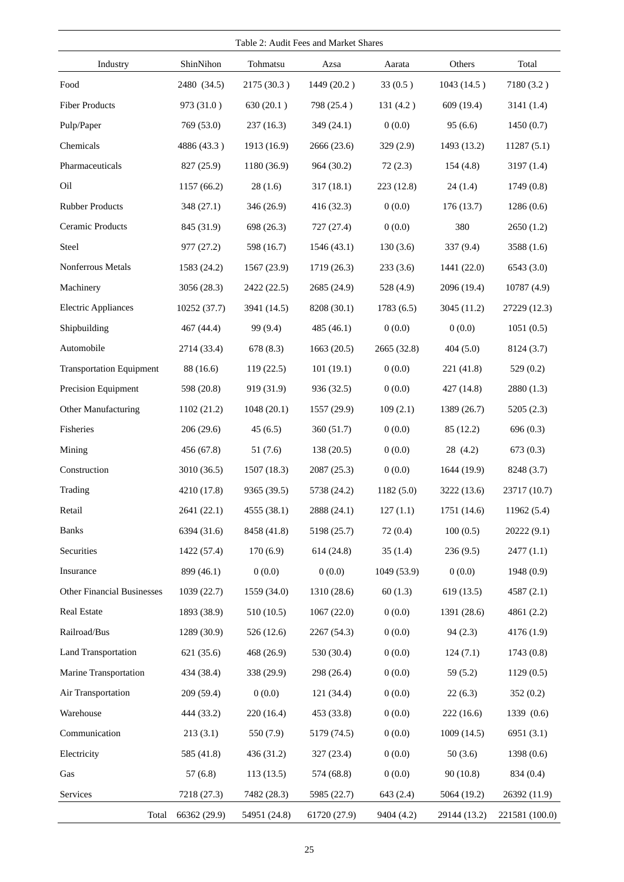| Table 2: Audit Fees and Market Shares |              |              |              |             |              |                |  |  |  |  |
|---------------------------------------|--------------|--------------|--------------|-------------|--------------|----------------|--|--|--|--|
| Industry                              | ShinNihon    | Tohmatsu     | Azsa         | Aarata      | Others       | Total          |  |  |  |  |
| Food                                  | 2480 (34.5)  | 2175 (30.3)  | 1449 (20.2)  | 33(0.5)     | 1043(14.5)   | 7180 (3.2)     |  |  |  |  |
| <b>Fiber Products</b>                 | 973 (31.0)   | 630(20.1)    | 798 (25.4)   | 131(4.2)    | 609 (19.4)   | 3141(1.4)      |  |  |  |  |
| Pulp/Paper                            | 769 (53.0)   | 237(16.3)    | 349(24.1)    | 0(0.0)      | 95(6.6)      | 1450(0.7)      |  |  |  |  |
| Chemicals                             | 4886 (43.3)  | 1913 (16.9)  | 2666 (23.6)  | 329 (2.9)   | 1493 (13.2)  | 11287(5.1)     |  |  |  |  |
| Pharmaceuticals                       | 827 (25.9)   | 1180 (36.9)  | 964 (30.2)   | 72(2.3)     | 154(4.8)     | 3197(1.4)      |  |  |  |  |
| Oil                                   | 1157 (66.2)  | 28(1.6)      | 317(18.1)    | 223 (12.8)  | 24(1.4)      | 1749(0.8)      |  |  |  |  |
| <b>Rubber Products</b>                | 348 (27.1)   | 346 (26.9)   | 416 (32.3)   | 0(0.0)      | 176(13.7)    | 1286(0.6)      |  |  |  |  |
| Ceramic Products                      | 845 (31.9)   | 698 (26.3)   | 727 (27.4)   | 0(0.0)      | 380          | 2650(1.2)      |  |  |  |  |
| Steel                                 | 977 (27.2)   | 598 (16.7)   | 1546(43.1)   | 130(3.6)    | 337(9.4)     | 3588 (1.6)     |  |  |  |  |
| Nonferrous Metals                     | 1583 (24.2)  | 1567 (23.9)  | 1719 (26.3)  | 233(3.6)    | 1441 (22.0)  | 6543(3.0)      |  |  |  |  |
| Machinery                             | 3056 (28.3)  | 2422 (22.5)  | 2685 (24.9)  | 528 (4.9)   | 2096 (19.4)  | 10787(4.9)     |  |  |  |  |
| <b>Electric Appliances</b>            | 10252 (37.7) | 3941 (14.5)  | 8208 (30.1)  | 1783(6.5)   | 3045 (11.2)  | 27229 (12.3)   |  |  |  |  |
| Shipbuilding                          | 467 (44.4)   | 99 (9.4)     | 485 $(46.1)$ | 0(0.0)      | 0(0.0)       | 1051(0.5)      |  |  |  |  |
| Automobile                            | 2714 (33.4)  | 678 (8.3)    | 1663(20.5)   | 2665 (32.8) | 404(5.0)     | 8124 (3.7)     |  |  |  |  |
| <b>Transportation Equipment</b>       | 88 (16.6)    | 119(22.5)    | 101(19.1)    | 0(0.0)      | 221 (41.8)   | 529(0.2)       |  |  |  |  |
| Precision Equipment                   | 598 (20.8)   | 919 (31.9)   | 936 (32.5)   | 0(0.0)      | 427 (14.8)   | 2880 (1.3)     |  |  |  |  |
| Other Manufacturing                   | 1102(21.2)   | 1048(20.1)   | 1557 (29.9)  | 109(2.1)    | 1389 (26.7)  | 5205(2.3)      |  |  |  |  |
| Fisheries                             | 206(29.6)    | 45(6.5)      | 360 (51.7)   | 0(0.0)      | 85 (12.2)    | 696(0.3)       |  |  |  |  |
| Mining                                | 456 (67.8)   | 51 (7.6)     | 138 (20.5)   | 0(0.0)      | 28 (4.2)     | 673(0.3)       |  |  |  |  |
| Construction                          | 3010 (36.5)  | 1507(18.3)   | 2087 (25.3)  | 0(0.0)      | 1644 (19.9)  | 8248 (3.7)     |  |  |  |  |
| Trading                               | 4210 (17.8)  | 9365 (39.5)  | 5738 (24.2)  | 1182(5.0)   | 3222 (13.6)  | 23717 (10.7)   |  |  |  |  |
| Retail                                | 2641 (22.1)  | 4555 (38.1)  | 2888 (24.1)  | 127(1.1)    | 1751 (14.6)  | 11962 (5.4)    |  |  |  |  |
| <b>Banks</b>                          | 6394 (31.6)  | 8458 (41.8)  | 5198 (25.7)  | 72(0.4)     | 100(0.5)     | 20222 (9.1)    |  |  |  |  |
| Securities                            | 1422 (57.4)  | 170(6.9)     | 614(24.8)    | 35(1.4)     | 236(9.5)     | 2477(1.1)      |  |  |  |  |
| Insurance                             | 899 (46.1)   | 0(0.0)       | 0(0.0)       | 1049 (53.9) | 0(0.0)       | 1948(0.9)      |  |  |  |  |
| <b>Other Financial Businesses</b>     | 1039 (22.7)  | 1559 (34.0)  | 1310 (28.6)  | 60(1.3)     | 619 (13.5)   | 4587(2.1)      |  |  |  |  |
| <b>Real Estate</b>                    | 1893 (38.9)  | 510 (10.5)   | 1067(22.0)   | 0(0.0)      | 1391 (28.6)  | 4861 (2.2)     |  |  |  |  |
| Railroad/Bus                          | 1289 (30.9)  | 526 (12.6)   | 2267 (54.3)  | 0(0.0)      | 94(2.3)      | 4176 (1.9)     |  |  |  |  |
| Land Transportation                   | 621 (35.6)   | 468 (26.9)   | 530 (30.4)   | 0(0.0)      | 124(7.1)     | 1743(0.8)      |  |  |  |  |
| Marine Transportation                 | 434 (38.4)   | 338 (29.9)   | 298 (26.4)   | 0(0.0)      | 59(5.2)      | 1129(0.5)      |  |  |  |  |
| Air Transportation                    | 209(59.4)    | 0(0.0)       | 121(34.4)    | 0(0.0)      | 22(6.3)      | 352(0.2)       |  |  |  |  |
| Warehouse                             | 444 (33.2)   | 220(16.4)    | 453 (33.8)   | 0(0.0)      | 222(16.6)    | 1339 (0.6)     |  |  |  |  |
| Communication                         | 213(3.1)     | 550 (7.9)    | 5179 (74.5)  | 0(0.0)      | 1009(14.5)   | 6951(3.1)      |  |  |  |  |
| Electricity                           | 585 (41.8)   | 436 (31.2)   | 327(23.4)    | 0(0.0)      | 50(3.6)      | 1398(0.6)      |  |  |  |  |
| Gas                                   | 57(6.8)      | 113(13.5)    | 574 (68.8)   | 0(0.0)      | 90(10.8)     | 834 (0.4)      |  |  |  |  |
| Services                              | 7218 (27.3)  | 7482 (28.3)  | 5985 (22.7)  | 643 (2.4)   | 5064 (19.2)  | 26392 (11.9)   |  |  |  |  |
| Total                                 | 66362 (29.9) | 54951 (24.8) | 61720 (27.9) | 9404 (4.2)  | 29144 (13.2) | 221581 (100.0) |  |  |  |  |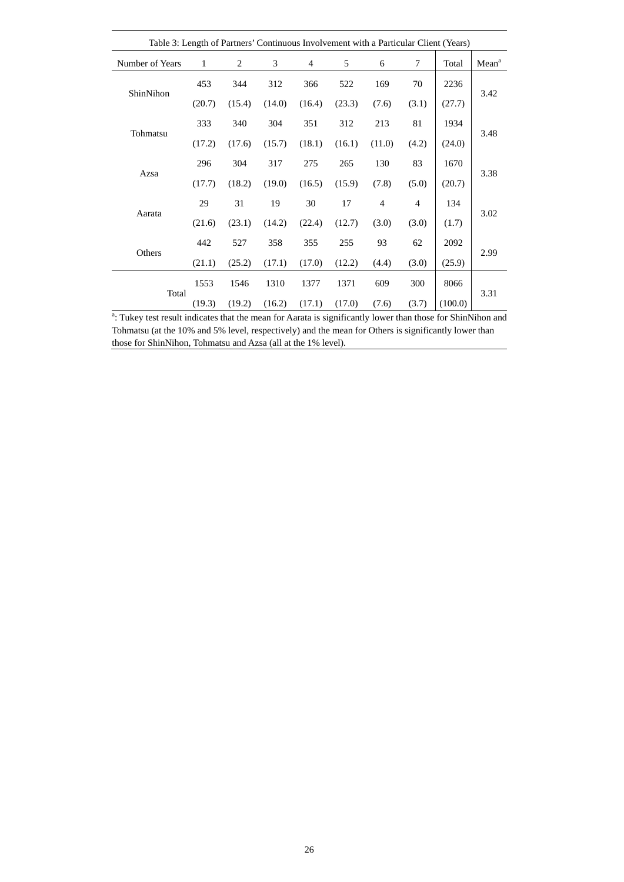|                 | Table 3: Length of Partners' Continuous Involvement with a Particular Client (Years) |        |        |        |        |                |                |         |                   |  |  |
|-----------------|--------------------------------------------------------------------------------------|--------|--------|--------|--------|----------------|----------------|---------|-------------------|--|--|
| Number of Years | 1                                                                                    | 2      | 3      | 4      | 5      | 6              | 7              | Total   | Mean <sup>a</sup> |  |  |
|                 | 453                                                                                  | 344    | 312    | 366    | 522    | 169            | 70             | 2236    |                   |  |  |
| ShinNihon       | (20.7)                                                                               | (15.4) | (14.0) | (16.4) | (23.3) | (7.6)          | (3.1)          | (27.7)  | 3.42              |  |  |
|                 | 333                                                                                  | 340    | 304    | 351    | 312    | 213            | 81             | 1934    |                   |  |  |
| Tohmatsu        | (17.2)                                                                               | (17.6) | (15.7) | (18.1) | (16.1) | (11.0)         | (4.2)          | (24.0)  | 3.48              |  |  |
|                 | 296                                                                                  | 304    | 317    | 275    | 265    | 130            | 83             | 1670    |                   |  |  |
| Azsa            | (17.7)                                                                               | (18.2) | (19.0) | (16.5) | (15.9) | (7.8)          | (5.0)          | (20.7)  | 3.38              |  |  |
|                 | 29                                                                                   | 31     | 19     | 30     | 17     | $\overline{4}$ | $\overline{4}$ | 134     |                   |  |  |
| Aarata          | (21.6)                                                                               | (23.1) | (14.2) | (22.4) | (12.7) | (3.0)          | (3.0)          | (1.7)   | 3.02              |  |  |
| Others          | 442                                                                                  | 527    | 358    | 355    | 255    | 93             | 62             | 2092    | 2.99              |  |  |
|                 | (21.1)                                                                               | (25.2) | (17.1) | (17.0) | (12.2) | (4.4)          | (3.0)          | (25.9)  |                   |  |  |
|                 | 1553                                                                                 | 1546   | 1310   | 1377   | 1371   | 609            | 300            | 8066    |                   |  |  |
| Total           | (19.3)                                                                               | (19.2) | (16.2) | (17.1) | (17.0) | (7.6)          | (3.7)          | (100.0) | 3.31              |  |  |

<sup>a</sup>: Tukey test result indicates that the mean for Aarata is significantly lower than those for ShinNihon and Tohmatsu (at the 10% and 5% level, respectively) and the mean for Others is significantly lower than those for ShinNihon, Tohmatsu and Azsa (all at the 1% level).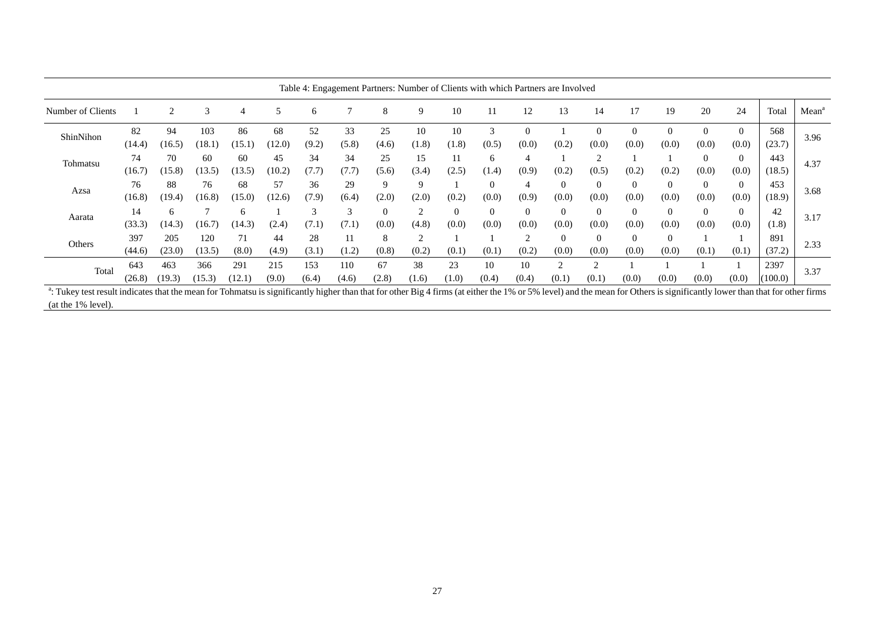|                   |               |               |               |               |              |              |              |                   |                    |             |                         |                   | Table 4: Engagement Partners: Number of Clients with which Partners are Involved |                        |                   |                   |                   |                   |                 |                   |
|-------------------|---------------|---------------|---------------|---------------|--------------|--------------|--------------|-------------------|--------------------|-------------|-------------------------|-------------------|----------------------------------------------------------------------------------|------------------------|-------------------|-------------------|-------------------|-------------------|-----------------|-------------------|
| Number of Clients |               | ↑             | $\mathcal{R}$ |               |              | 6            |              | 8                 | 9                  | 10          |                         | 12                | 13                                                                               | 14                     | 17                | 19                | 20                | 24                | Total           | Mean <sup>a</sup> |
| ShinNihon         | 82<br>(14.4)  | 94<br>(16.5)  | 103<br>(18.1) | 86<br>(15.1   | 68<br>(12.0) | 52<br>(9.2)  | 33<br>(5.8)  | 25<br>(4.6)       | 10<br>(1.8)        | 10<br>(1.8) | 3<br>(0.5)              | $\Omega$<br>(0.0) | (0.2)                                                                            | $\Omega$<br>(0.0)      | $\theta$<br>(0.0) | $\theta$<br>(0.0) | $\Omega$<br>(0.0) | $\theta$<br>(0.0) | 568<br>(23.7)   | 3.96              |
| Tohmatsu          | 74<br>(16.7)  | 70<br>(15.8)  | 60<br>(13.5)  | 60<br>(13.5)  | 45<br>(10.2) | 34<br>(7.7)  | 34<br>(7.7)  | 25<br>(5.6)       | 15<br>(3.4)        | (2.5)       | 6<br>(1.4)              | (0.9)             | (0.2)                                                                            | $\mathcal{D}$<br>(0.5) | (0.2)             | (0.2)             | $\Omega$<br>(0.0) | $\theta$<br>(0.0) | 443<br>(18.5)   | 4.37              |
| Azsa              | 76<br>(16.8)  | 88<br>(19.4)  | 76<br>(16.8)  | 68<br>(15.0)  | 57<br>(12.6) | 36<br>(7.9)  | 29<br>(6.4)  | 9<br>(2.0)        | 9<br>(2.0)         | (0.2)       | $\overline{0}$<br>(0.0) | 4<br>(0.9)        | $\Omega$<br>(0.0)                                                                | $\Omega$<br>(0.0)      | $\Omega$<br>(0.0) | $\Omega$<br>(0.0) | $\Omega$<br>(0.0) | $\theta$<br>(0.0) | 453<br>(18.9)   | 3.68              |
| Aarata            | 14<br>(33.3)  | 6<br>(14.3)   | 16.7          | (14.3)        | (2.4         | 3<br>(7.1)   | 3<br>(7.1)   | $\Omega$<br>(0.0) | $\bigcap$<br>(4.8) | (0.0)       | $\overline{0}$<br>(0.0) | $\Omega$<br>(0.0) | $\Omega$<br>(0.0)                                                                | $\Omega$<br>(0.0)      | (0.0)             | $\theta$<br>(0.0) | $\Omega$<br>(0.0) | $\theta$<br>(0.0) | 42<br>(1.8)     | 3.17              |
| Others            | 397<br>(44.6) | 205<br>(23.0) | 120<br>(13.5) | (8.0)         | 44<br>(4.9)  | 28<br>(3.1)  | (1.2)        | 8<br>(0.8)        | ◠<br>(0.2)         | (0.1)       | (0.1)                   | $\sim$<br>(0.2)   | $\Omega$<br>(0.0)                                                                | $\mathbf{0}$<br>(0.0)  | (0.0)             | $\Omega$<br>(0.0) | (0.1)             | (0.1)             | 891<br>(37.2)   | 2.33              |
| Total             | 643<br>(26.8) | 463<br>(19.3) | 366<br>(15.3) | 291<br>(12.1) | 215<br>(9.0) | 153<br>(6.4) | 110<br>(4.6) | 67<br>(2.8)       | 38<br>(1.6)        | 23<br>(1.0) | 10<br>(0.4)             | 10<br>(0.4)       | (0.1)                                                                            | ി<br>(0.1)             | (0.0)             | (0.0)             | (0.0)             | (0.0)             | 2397<br>(100.0) | 3.37              |

<sup>a</sup>: Tukey test result indicates that the mean for Tohmatsu is significantly higher than that for other Big 4 firms (at either the 1% or 5% level) and the mean for Others is significantly lower than that for other firms (at the 1% level).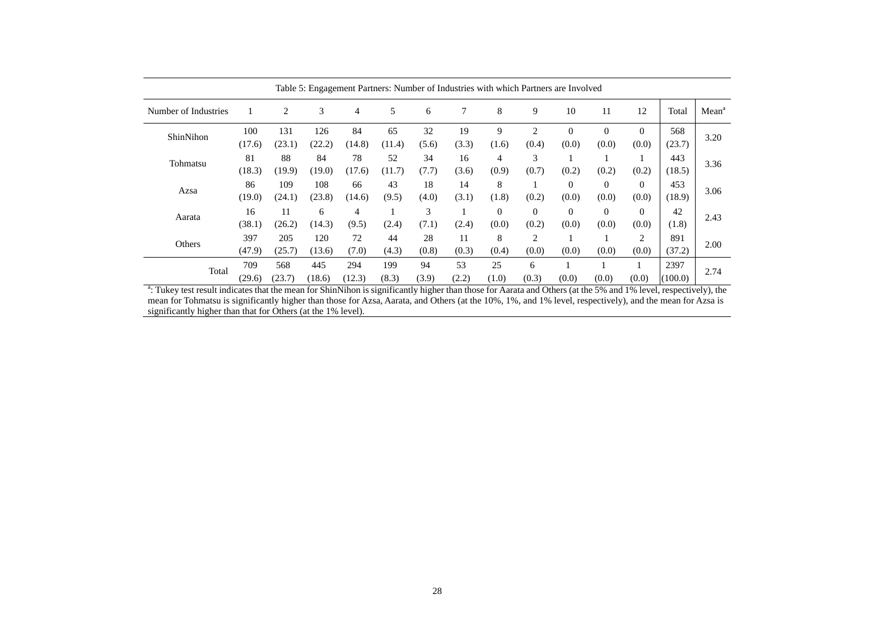| Table 5: Engagement Partners: Number of Industries with which Partners are Involved |               |               |               |               |              |             |             |                   |                   |                   |                   |                   |                 |                   |
|-------------------------------------------------------------------------------------|---------------|---------------|---------------|---------------|--------------|-------------|-------------|-------------------|-------------------|-------------------|-------------------|-------------------|-----------------|-------------------|
| Number of Industries                                                                |               | 2             | 3             | 4             | 5            | 6           | 7           | 8                 | 9                 | 10                | 11                | 12                | Total           | Mean <sup>a</sup> |
| ShinNihon                                                                           | 100<br>(17.6) | 131<br>(23.1) | 126<br>(22.2) | 84<br>(14.8)  | 65<br>(11.4) | 32<br>(5.6) | 19<br>(3.3) | 9<br>(1.6)        | 2<br>(0.4)        | $\theta$<br>(0.0) | $\Omega$<br>(0.0) | $\theta$<br>(0.0) | 568<br>(23.7)   | 3.20              |
| Tohmatsu                                                                            | 81<br>(18.3)  | 88<br>(19.9)  | 84<br>(19.0)  | 78<br>(17.6)  | 52<br>(11.7) | 34<br>(7.7) | 16<br>(3.6) | 4<br>(0.9)        | 3<br>(0.7)        | (0.2)             | (0.2)             | (0.2)             | 443<br>(18.5)   | 3.36              |
| Azsa                                                                                | 86<br>(19.0)  | 109<br>(24.1) | 108<br>(23.8) | 66<br>(14.6)  | 43<br>(9.5)  | 18<br>(4.0) | 14<br>(3.1) | 8<br>(1.8)        | (0.2)             | $\theta$<br>(0.0) | $\Omega$<br>(0.0) | $\Omega$<br>(0.0) | 453<br>(18.9)   | 3.06              |
| Aarata                                                                              | 16<br>(38.1)  | 11<br>(26.2)  | 6<br>(14.3)   | 4<br>(9.5)    | (2.4)        | 3<br>(7.1)  | (2.4)       | $\Omega$<br>(0.0) | $\Omega$<br>(0.2) | $\Omega$<br>(0.0) | $\Omega$<br>(0.0) | $\Omega$<br>(0.0) | 42<br>(1.8)     | 2.43              |
| Others                                                                              | 397<br>(47.9) | 205<br>(25.7) | 120<br>(13.6) | 72<br>(7.0)   | 44<br>(4.3)  | 28<br>(0.8) | 11<br>(0.3) | 8<br>(0.4)        | 2<br>(0.0)        | (0.0)             | (0.0)             | 2<br>(0.0)        | 891<br>(37.2)   | 2.00              |
| Total                                                                               | 709<br>(29.6) | 568<br>(23.7) | 445<br>(18.6) | 294<br>(12.3) | 199<br>(8.3) | 94<br>(3.9) | 53<br>(2.2) | 25<br>(1.0)       | 6<br>(0.3)        | (0.0)             | (0.0)             | (0.0)             | 2397<br>(100.0) | 2.74              |

<sup>a</sup>: Tukey test result indicates that the mean for ShinNihon is significantly higher than those for Aarata and Others (at the 5% and 1% level, respectively), the mean for Tohmatsu is significantly higher than those for Azsa, Aarata, and Others (at the 10%, 1%, and 1% level, respectively), and the mean for Azsa is significantly higher than that for Others (at the 1% level).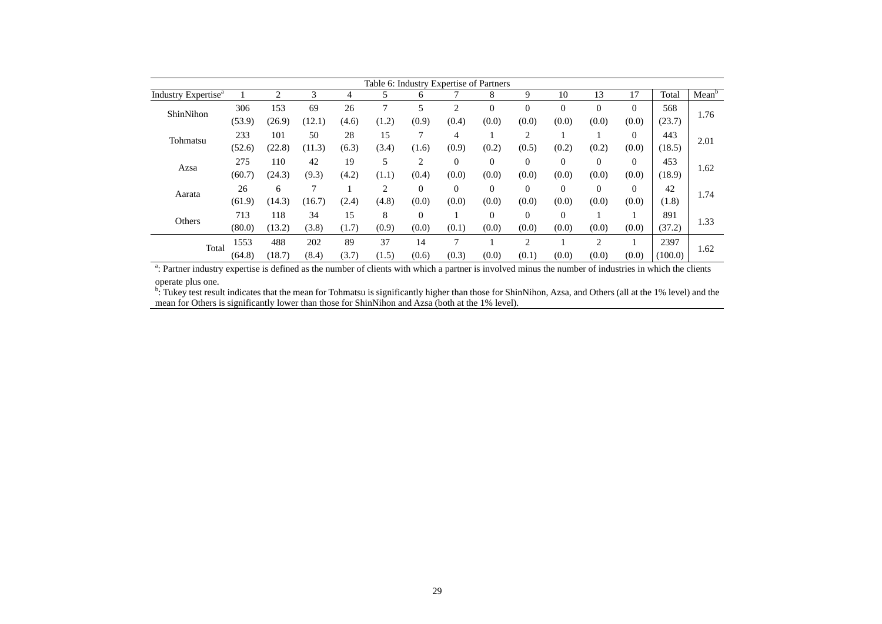|                                 | Table 6: Industry Expertise of Partners |        |        |       |       |                |                |                |                |          |              |          |         |                   |
|---------------------------------|-----------------------------------------|--------|--------|-------|-------|----------------|----------------|----------------|----------------|----------|--------------|----------|---------|-------------------|
| Industry Expertise <sup>a</sup> |                                         | 2      | 3      | 4     | 5     | 6              |                | 8              | 9              | 10       | 13           | 17       | Total   | Mean <sup>t</sup> |
| ShinNihon                       | 306                                     | 153    | 69     | 26    | 7     | 5              | $\overline{c}$ | $\overline{0}$ | $\theta$       | $\Omega$ | $\mathbf{0}$ | $\Omega$ | 568     | 1.76              |
|                                 | (53.9)                                  | (26.9) | (12.1) | (4.6) | (1.2) | (0.9)          | (0.4)          | (0.0)          | (0.0)          | (0.0)    | (0.0)        | (0.0)    | (23.7)  |                   |
| Tohmatsu                        | 233                                     | 101    | 50     | 28    | 15    | 7              | 4              |                | $\overline{2}$ |          |              | $\Omega$ | 443     | 2.01              |
|                                 | (52.6)                                  | (22.8) | (11.3) | (6.3) | (3.4) | (1.6)          | (0.9)          | (0.2)          | (0.5)          | (0.2)    | (0.2)        | (0.0)    | (18.5)  |                   |
| Azsa                            | 275                                     | 110    | 42     | 19    | 5     | $\overline{c}$ | $\Omega$       | $\theta$       | $\theta$       | $\Omega$ | $\mathbf{0}$ | $\theta$ | 453     | 1.62              |
|                                 | (60.7)                                  | (24.3) | (9.3)  | (4.2) | (1.1) | (0.4)          | (0.0)          | (0.0)          | (0.0)          | (0.0)    | (0.0)        | (0.0)    | (18.9)  |                   |
| Aarata                          | 26                                      | 6      | π      |       | 2     | $\Omega$       | $\Omega$       | $\theta$       | $\theta$       | $\Omega$ | $\mathbf{0}$ | $\Omega$ | 42      | 1.74              |
|                                 | (61.9)                                  | (14.3) | (16.7) | (2.4) | (4.8) | (0.0)          | (0.0)          | (0.0)          | (0.0)          | (0.0)    | (0.0)        | (0.0)    | (1.8)   |                   |
| Others                          | 713                                     | 118    | 34     | 15    | 8     | $\mathbf{0}$   |                | $\theta$       | $\overline{0}$ | $\Omega$ |              |          | 891     | 1.33              |
|                                 | (80.0)                                  | (13.2) | (3.8)  | (1.7) | (0.9) | (0.0)          | (0.1)          | (0.0)          | (0.0)          | (0.0)    | (0.0)        | (0.0)    | (37.2)  |                   |
| Total                           | 1553                                    | 488    | 202    | 89    | 37    | 14             | $\mathcal{I}$  |                | $\overline{c}$ |          | 2            |          | 2397    |                   |
|                                 | (64.8)                                  | (18.7) | (8.4)  | (3.7) | (1.5) | (0.6)          | (0.3)          | (0.0)          | (0.1)          | (0.0)    | (0.0)        | (0.0)    | (100.0) | 1.62              |

<sup>a</sup>: Partner industry expertise is defined as the number of clients with which a partner is involved minus the number of industries in which the clients operate plus one.

<sup>b</sup>: Tukey test result indicates that the mean for Tohmatsu is significantly higher than those for ShinNihon, Azsa, and Others (all at the 1% level) and the mean for Others is significantly lower than those for ShinNihon and Azsa (both at the 1% level).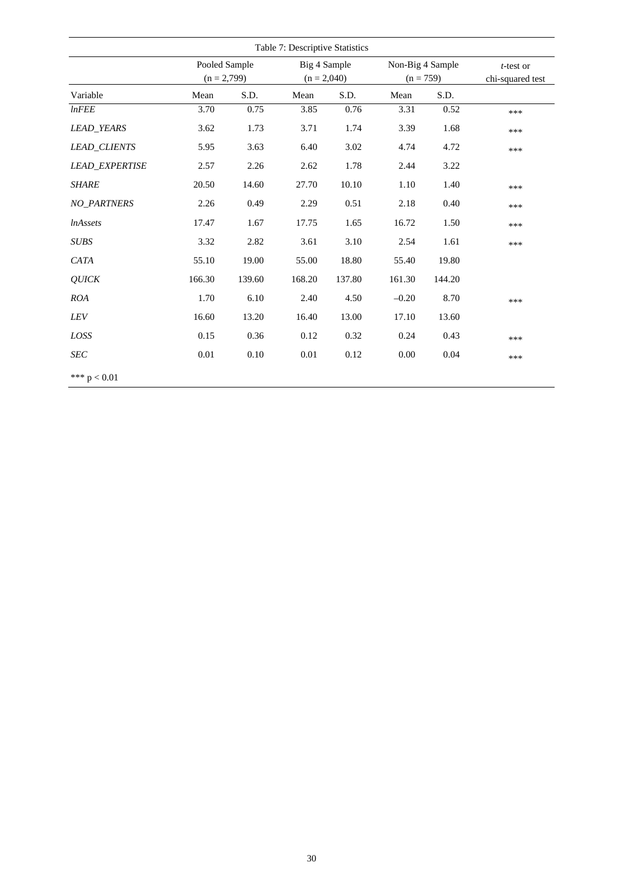|                       |                                |        | Table 7: Descriptive Statistics |        |                                 |        |                               |
|-----------------------|--------------------------------|--------|---------------------------------|--------|---------------------------------|--------|-------------------------------|
|                       | Pooled Sample<br>$(n = 2,799)$ |        | Big 4 Sample<br>$(n = 2,040)$   |        | Non-Big 4 Sample<br>$(n = 759)$ |        | t-test or<br>chi-squared test |
| Variable              | Mean                           | S.D.   | Mean                            | S.D.   | Mean                            | S.D.   |                               |
| InFEE                 | 3.70                           | 0.75   | 3.85                            | 0.76   | 3.31                            | 0.52   | ***                           |
| <b>LEAD_YEARS</b>     | 3.62                           | 1.73   | 3.71                            | 1.74   | 3.39                            | 1.68   | ***                           |
| <b>LEAD CLIENTS</b>   | 5.95                           | 3.63   | 6.40                            | 3.02   | 4.74                            | 4.72   | ***                           |
| <b>LEAD EXPERTISE</b> | 2.57                           | 2.26   | 2.62                            | 1.78   | 2.44                            | 3.22   |                               |
| <b>SHARE</b>          | 20.50                          | 14.60  | 27.70                           | 10.10  | 1.10                            | 1.40   | ***                           |
| <b>NO PARTNERS</b>    | 2.26                           | 0.49   | 2.29                            | 0.51   | 2.18                            | 0.40   | ***                           |
| <i>lnAssets</i>       | 17.47                          | 1.67   | 17.75                           | 1.65   | 16.72                           | 1.50   | ***                           |
| <b>SUBS</b>           | 3.32                           | 2.82   | 3.61                            | 3.10   | 2.54                            | 1.61   | ***                           |
| CATA                  | 55.10                          | 19.00  | 55.00                           | 18.80  | 55.40                           | 19.80  |                               |
| <b>QUICK</b>          | 166.30                         | 139.60 | 168.20                          | 137.80 | 161.30                          | 144.20 |                               |
| <b>ROA</b>            | 1.70                           | 6.10   | 2.40                            | 4.50   | $-0.20$                         | 8.70   | ***                           |
| LEV                   | 16.60                          | 13.20  | 16.40                           | 13.00  | 17.10                           | 13.60  |                               |
| LOSS                  | 0.15                           | 0.36   | 0.12                            | 0.32   | 0.24                            | 0.43   | ***                           |
| <b>SEC</b>            | $0.01\,$                       | 0.10   | 0.01                            | 0.12   | 0.00                            | 0.04   | ***                           |
| *** $p < 0.01$        |                                |        |                                 |        |                                 |        |                               |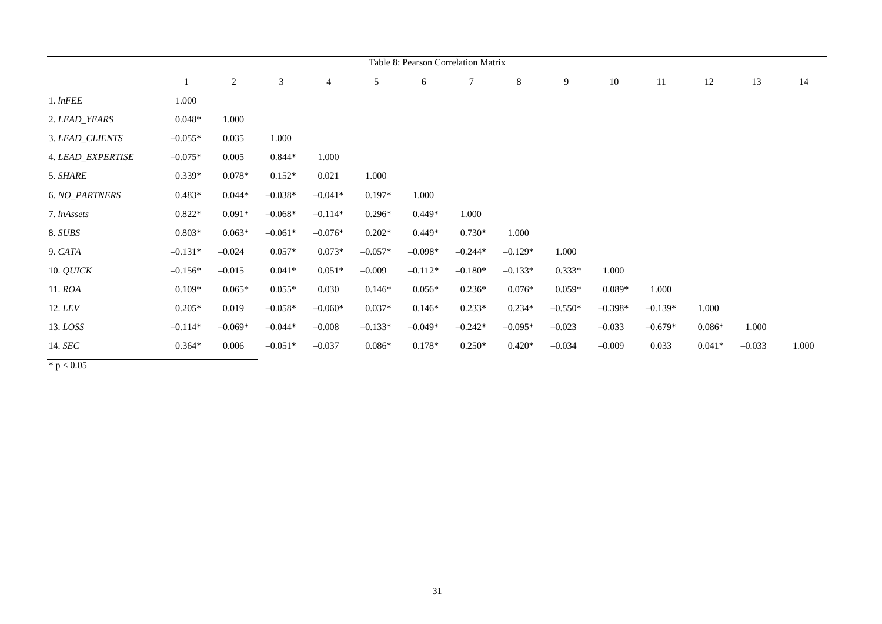|                          | Table 8: Pearson Correlation Matrix |                |           |                |                |           |           |           |           |           |           |          |          |       |
|--------------------------|-------------------------------------|----------------|-----------|----------------|----------------|-----------|-----------|-----------|-----------|-----------|-----------|----------|----------|-------|
|                          | $\mathbf{1}$                        | $\overline{2}$ | 3         | $\overline{4}$ | 5 <sup>5</sup> | 6         | $\tau$    | 8         | 9         | 10        | 11        | 12       | 13       | 14    |
| $1.$ $lnFEE$             | 1.000                               |                |           |                |                |           |           |           |           |           |           |          |          |       |
| 2. LEAD_YEARS            | $0.048*$                            | 1.000          |           |                |                |           |           |           |           |           |           |          |          |       |
| 3. LEAD_CLIENTS          | $-0.055*$                           | 0.035          | 1.000     |                |                |           |           |           |           |           |           |          |          |       |
| <b>4. LEAD_EXPERTISE</b> | $-0.075*$                           | 0.005          | $0.844*$  | 1.000          |                |           |           |           |           |           |           |          |          |       |
| 5. SHARE                 | $0.339*$                            | $0.078*$       | $0.152*$  | 0.021          | 1.000          |           |           |           |           |           |           |          |          |       |
| 6. NO_PARTNERS           | $0.483*$                            | $0.044*$       | $-0.038*$ | $-0.041*$      | $0.197*$       | 1.000     |           |           |           |           |           |          |          |       |
| 7. <i>InAssets</i>       | $0.822*$                            | $0.091*$       | $-0.068*$ | $-0.114*$      | $0.296*$       | $0.449*$  | 1.000     |           |           |           |           |          |          |       |
| 8. SUBS                  | $0.803*$                            | $0.063*$       | $-0.061*$ | $-0.076*$      | $0.202*$       | $0.449*$  | $0.730*$  | 1.000     |           |           |           |          |          |       |
| 9. CATA                  | $-0.131*$                           | $-0.024$       | $0.057*$  | $0.073*$       | $-0.057*$      | $-0.098*$ | $-0.244*$ | $-0.129*$ | 1.000     |           |           |          |          |       |
| 10. <i>QUICK</i>         | $-0.156*$                           | $-0.015$       | $0.041*$  | $0.051*$       | $-0.009$       | $-0.112*$ | $-0.180*$ | $-0.133*$ | $0.333*$  | 1.000     |           |          |          |       |
| 11. ROA                  | $0.109*$                            | $0.065*$       | $0.055*$  | 0.030          | $0.146*$       | $0.056*$  | $0.236*$  | $0.076*$  | $0.059*$  | $0.089*$  | 1.000     |          |          |       |
| 12. LEV                  | $0.205*$                            | 0.019          | $-0.058*$ | $-0.060*$      | $0.037*$       | $0.146*$  | $0.233*$  | $0.234*$  | $-0.550*$ | $-0.398*$ | $-0.139*$ | 1.000    |          |       |
| 13. LOSS                 | $-0.114*$                           | $-0.069*$      | $-0.044*$ | $-0.008$       | $-0.133*$      | $-0.049*$ | $-0.242*$ | $-0.095*$ | $-0.023$  | $-0.033$  | $-0.679*$ | $0.086*$ | 1.000    |       |
| 14. SEC                  | $0.364*$                            | 0.006          | $-0.051*$ | $-0.037$       | $0.086*$       | $0.178*$  | $0.250*$  | $0.420*$  | $-0.034$  | $-0.009$  | 0.033     | $0.041*$ | $-0.033$ | 1.000 |
| * $p < 0.05$             |                                     |                |           |                |                |           |           |           |           |           |           |          |          |       |